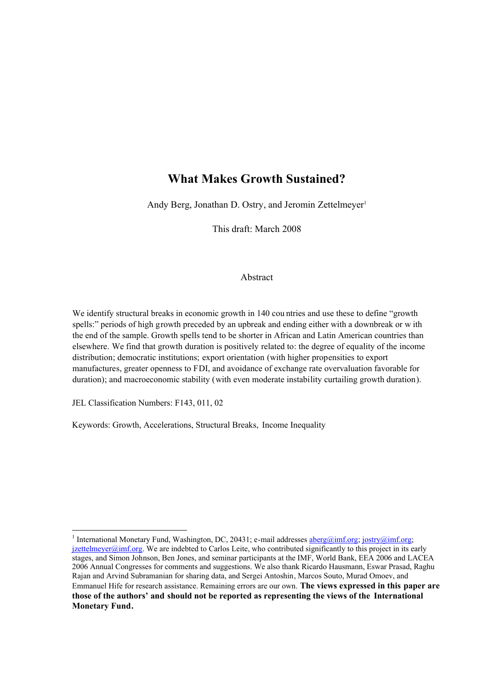# **What Makes Growth Sustained?**

Andy Berg, Jonathan D. Ostry, and Jeromin Zettelmeyer<sup>1</sup>

This draft: March 2008

## Abstract

We identify structural breaks in economic growth in 140 cou ntries and use these to define "growth spells:" periods of high growth preceded by an upbreak and ending either with a downbreak or w ith the end of the sample. Growth spells tend to be shorter in African and Latin American countries than elsewhere. We find that growth duration is positively related to: the degree of equality of the income distribution; democratic institutions; export orientation (with higher propensities to export manufactures, greater openness to FDI, and avoidance of exchange rate overvaluation favorable for duration); and macroeconomic stability (with even moderate instability curtailing growth duration).

JEL Classification Numbers: F143, 011, 02

-

Keywords: Growth, Accelerations, Structural Breaks, Income Inequality

<sup>&</sup>lt;sup>1</sup> International Monetary Fund, Washington, DC, 20431; e-mail addresses **aberg@imf.org**; jostry@imf.org;  $j$ zettelmeyer@imf.org. We are indebted to Carlos Leite, who contributed significantly to this project in its early stages, and Simon Johnson, Ben Jones, and seminar participants at the IMF, World Bank, EEA 2006 and LACEA 2006 Annual Congresses for comments and suggestions. We also thank Ricardo Hausmann, Eswar Prasad, Raghu Rajan and Arvind Subramanian for sharing data, and Sergei Antoshin, Marcos Souto, Murad Omoev, and Emmanuel Hife for research assistance. Remaining errors are our own. **The views expressed in this paper are those of the authors' and should not be reported as representing the views of the International Monetary Fund.**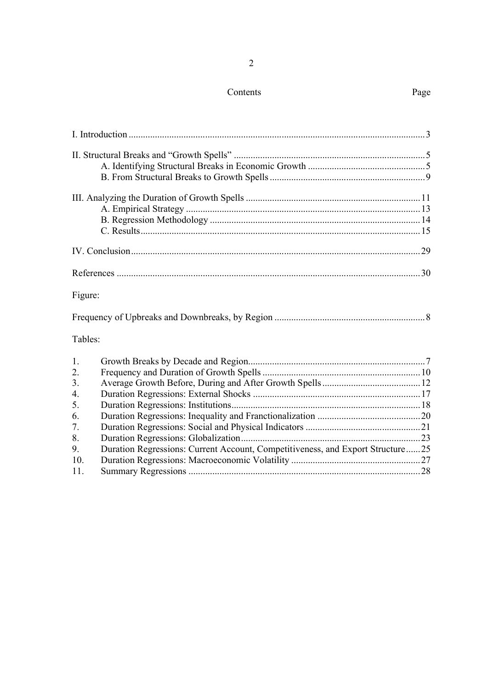# Contents

|--|

| Figure:          |                                                                                |  |
|------------------|--------------------------------------------------------------------------------|--|
|                  |                                                                                |  |
| Tables:          |                                                                                |  |
| 1.               |                                                                                |  |
| $\overline{2}$ . |                                                                                |  |
| 3.               |                                                                                |  |
| $\overline{4}$ . |                                                                                |  |
| 5.               |                                                                                |  |
| 6.               |                                                                                |  |
| 7.               |                                                                                |  |
| 8.               |                                                                                |  |
| 9.               | Duration Regressions: Current Account, Competitiveness, and Export Structure25 |  |
| 10.              |                                                                                |  |
| 11.              |                                                                                |  |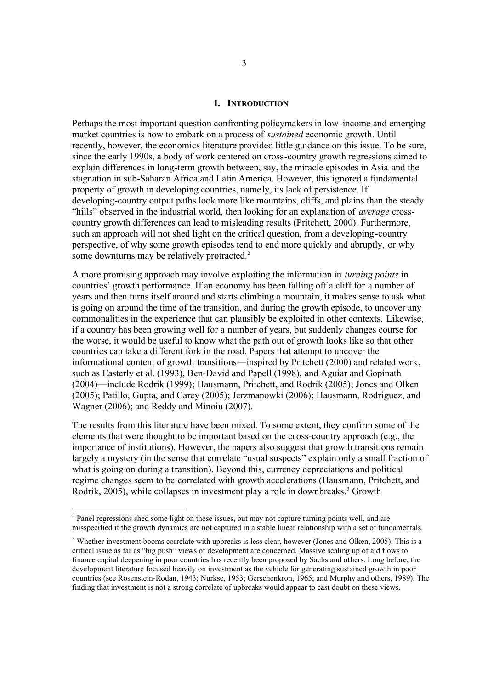#### **I. INTRODUCTION**

Perhaps the most important question confronting policymakers in low-income and emerging market countries is how to embark on a process of *sustained* economic growth. Until recently, however, the economics literature provided little guidance on this issue. To be sure, since the early 1990s, a body of work centered on cross-country growth regressions aimed to explain differences in long-term growth between, say, the miracle episodes in Asia and the stagnation in sub-Saharan Africa and Latin America. However, this ignored a fundamental property of growth in developing countries, namely, its lack of persistence. If developing-country output paths look more like mountains, cliffs, and plains than the steady "hills" observed in the industrial world, then looking for an explanation of *average* crosscountry growth differences can lead to misleading results (Pritchett, 2000). Furthermore, such an approach will not shed light on the critical question, from a developing-country perspective, of why some growth episodes tend to end more quickly and abruptly, or why some downturns may be relatively protracted.<sup>2</sup>

A more promising approach may involve exploiting the information in *turning points* in countries' growth performance. If an economy has been falling off a cliff for a number of years and then turns itself around and starts climbing a mountain, it makes sense to ask what is going on around the time of the transition, and during the growth episode, to uncover any commonalities in the experience that can plausibly be exploited in other contexts. Likewise, if a country has been growing well for a number of years, but suddenly changes course for the worse, it would be useful to know what the path out of growth looks like so that other countries can take a different fork in the road. Papers that attempt to uncover the informational content of growth transitions—inspired by Pritchett (2000) and related work, such as Easterly et al. (1993), Ben-David and Papell (1998), and Aguiar and Gopinath (2004)—include Rodrik (1999); Hausmann, Pritchett, and Rodrik (2005); Jones and Olken (2005); Patillo, Gupta, and Carey (2005); Jerzmanowki (2006); Hausmann, Rodriguez, and Wagner (2006); and Reddy and Minoiu (2007).

The results from this literature have been mixed. To some extent, they confirm some of the elements that were thought to be important based on the cross-country approach (e.g., the importance of institutions). However, the papers also suggest that growth transitions remain largely a mystery (in the sense that correlate "usual suspects" explain only a small fraction of what is going on during a transition). Beyond this, currency depreciations and political regime changes seem to be correlated with growth accelerations (Hausmann, Pritchett, and Rodrik, 2005), while collapses in investment play a role in downbreaks.<sup>3</sup> Growth

<sup>&</sup>lt;sup>2</sup> Panel regressions shed some light on these issues, but may not capture turning points well, and are misspecified if the growth dynamics are not captured in a stable linear relationship with a set of fundamentals.

<sup>&</sup>lt;sup>3</sup> Whether investment booms correlate with upbreaks is less clear, however (Jones and Olken, 2005). This is a critical issue as far as "big push" views of development are concerned. Massive scaling up of aid flows to finance capital deepening in poor countries has recently been proposed by Sachs and others. Long before, the development literature focused heavily on investment as the vehicle for generating sustained growth in poor countries (see Rosenstein-Rodan, 1943; Nurkse, 1953; Gerschenkron, 1965; and Murphy and others, 1989). The finding that investment is not a strong correlate of upbreaks would appear to cast doubt on these views.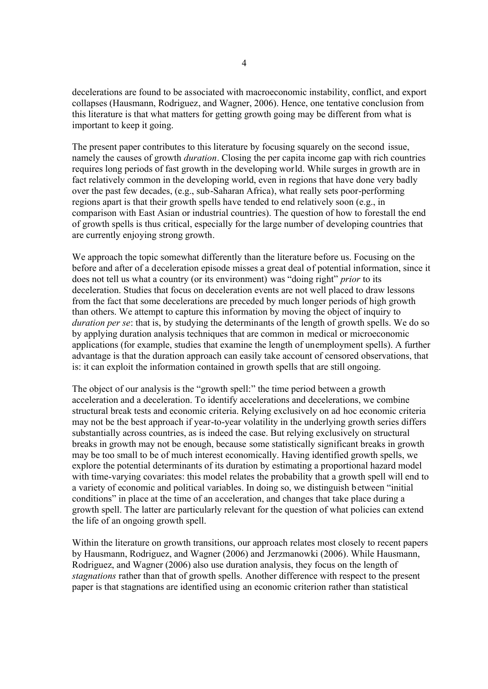decelerations are found to be associated with macroeconomic instability, conflict, and export collapses (Hausmann, Rodriguez, and Wagner, 2006). Hence, one tentative conclusion from this literature is that what matters for getting growth going may be different from what is important to keep it going.

The present paper contributes to this literature by focusing squarely on the second issue, namely the causes of growth *duration*. Closing the per capita income gap with rich countries requires long periods of fast growth in the developing world. While surges in growth are in fact relatively common in the developing world, even in regions that have done very badly over the past few decades, (e.g., sub-Saharan Africa), what really sets poor-performing regions apart is that their growth spells have tended to end relatively soon (e.g., in comparison with East Asian or industrial countries). The question of how to forestall the end of growth spells is thus critical, especially for the large number of developing countries that are currently enjoying strong growth.

We approach the topic somewhat differently than the literature before us. Focusing on the before and after of a deceleration episode misses a great deal of potential information, since it does not tell us what a country (or its environment) was "doing right" *prior* to its deceleration. Studies that focus on deceleration events are not well placed to draw lessons from the fact that some decelerations are preceded by much longer periods of high growth than others. We attempt to capture this information by moving the object of inquiry to *duration per se*: that is, by studying the determinants of the length of growth spells. We do so by applying duration analysis techniques that are common in medical or microeconomic applications (for example, studies that examine the length of unemployment spells). A further advantage is that the duration approach can easily take account of censored observations, that is: it can exploit the information contained in growth spells that are still ongoing.

The object of our analysis is the "growth spell:" the time period between a growth acceleration and a deceleration. To identify accelerations and decelerations, we combine structural break tests and economic criteria. Relying exclusively on ad hoc economic criteria may not be the best approach if year-to-year volatility in the underlying growth series differs substantially across countries, as is indeed the case. But relying exclusively on structural breaks in growth may not be enough, because some statistically significant breaks in growth may be too small to be of much interest economically. Having identified growth spells, we explore the potential determinants of its duration by estimating a proportional hazard model with time-varying covariates: this model relates the probability that a growth spell will end to a variety of economic and political variables. In doing so, we distinguish between "initial conditions" in place at the time of an acceleration, and changes that take place during a growth spell. The latter are particularly relevant for the question of what policies can extend the life of an ongoing growth spell.

Within the literature on growth transitions, our approach relates most closely to recent papers by Hausmann, Rodriguez, and Wagner (2006) and Jerzmanowki (2006). While Hausmann, Rodriguez, and Wagner (2006) also use duration analysis, they focus on the length of *stagnations* rather than that of growth spells. Another difference with respect to the present paper is that stagnations are identified using an economic criterion rather than statistical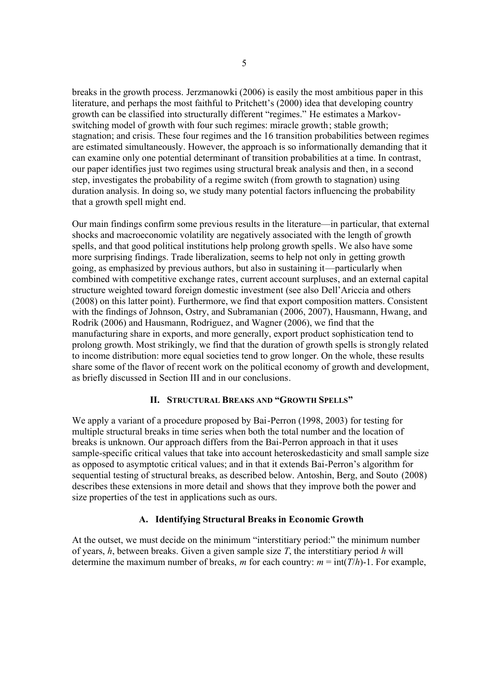breaks in the growth process. Jerzmanowki (2006) is easily the most ambitious paper in this literature, and perhaps the most faithful to Pritchett's (2000) idea that developing country growth can be classified into structurally different "regimes." He estimates a Markovswitching model of growth with four such regimes: miracle growth; stable growth; stagnation; and crisis. These four regimes and the 16 transition probabilities between regimes are estimated simultaneously. However, the approach is so informationally demanding that it can examine only one potential determinant of transition probabilities at a time. In contrast, our paper identifies just two regimes using structural break analysis and then, in a second step, investigates the probability of a regime switch (from growth to stagnation) using duration analysis. In doing so, we study many potential factors influencing the probability that a growth spell might end.

Our main findings confirm some previous results in the literature—in particular, that external shocks and macroeconomic volatility are negatively associated with the length of growth spells, and that good political institutions help prolong growth spells. We also have some more surprising findings. Trade liberalization, seems to help not only in getting growth going, as emphasized by previous authors, but also in sustaining it—particularly when combined with competitive exchange rates, current account surpluses, and an external capital structure weighted toward foreign domestic investment (see also Dell'Ariccia and others (2008) on this latter point). Furthermore, we find that export composition matters. Consistent with the findings of Johnson, Ostry, and Subramanian (2006, 2007), Hausmann, Hwang, and Rodrik (2006) and Hausmann, Rodriguez, and Wagner (2006), we find that the manufacturing share in exports, and more generally, export product sophistication tend to prolong growth. Most strikingly, we find that the duration of growth spells is strongly related to income distribution: more equal societies tend to grow longer. On the whole, these results share some of the flavor of recent work on the political economy of growth and development, as briefly discussed in Section III and in our conclusions.

## **II. STRUCTURAL BREAKS AND "GROWTH SPELLS"**

We apply a variant of a procedure proposed by Bai-Perron (1998, 2003) for testing for multiple structural breaks in time series when both the total number and the location of breaks is unknown. Our approach differs from the Bai-Perron approach in that it uses sample-specific critical values that take into account heteroskedasticity and small sample size as opposed to asymptotic critical values; and in that it extends Bai-Perron's algorithm for sequential testing of structural breaks, as described below. Antoshin, Berg, and Souto (2008) describes these extensions in more detail and shows that they improve both the power and size properties of the test in applications such as ours.

# **A. Identifying Structural Breaks in Economic Growth**

At the outset, we must decide on the minimum "interstitiary period:" the minimum number of years, *h*, between breaks. Given a given sample size *T*, the interstitiary period *h* will determine the maximum number of breaks, *m* for each country:  $m = \text{int}(T/h)$ -1. For example,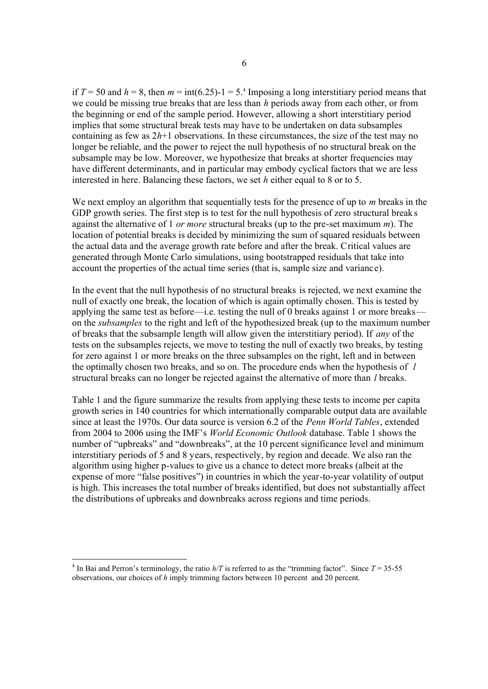if  $T = 50$  and  $h = 8$ , then  $m = \text{int}(6.25) - 1 = 5.4$  Imposing a long interstitiary period means that we could be missing true breaks that are less than *h* periods away from each other, or from the beginning or end of the sample period. However, allowing a short interstitiary period implies that some structural break tests may have to be undertaken on data subsamples containing as few as  $2h+1$  observations. In these circumstances, the size of the test may no longer be reliable, and the power to reject the null hypothesis of no structural break on the subsample may be low. Moreover, we hypothesize that breaks at shorter frequencies may have different determinants, and in particular may embody cyclical factors that we are less interested in here. Balancing these factors, we set *h* either equal to 8 or to 5.

We next employ an algorithm that sequentially tests for the presence of up to *m* breaks in the GDP growth series. The first step is to test for the null hypothesis of zero structural breaks against the alternative of 1 *or more* structural breaks (up to the pre-set maximum *m*). The location of potential breaks is decided by minimizing the sum of squared residuals between the actual data and the average growth rate before and after the break. Critical values are generated through Monte Carlo simulations, using bootstrapped residuals that take into account the properties of the actual time series (that is, sample size and variance).

In the event that the null hypothesis of no structural breaks is rejected, we next examine the null of exactly one break, the location of which is again optimally chosen. This is tested by applying the same test as before—i.e. testing the null of 0 breaks against 1 or more breaks on the *subsamples* to the right and left of the hypothesized break (up to the maximum number of breaks that the subsample length will allow given the interstitiary period). If *any* of the tests on the subsamples rejects, we move to testing the null of exactly two breaks, by testing for zero against 1 or more breaks on the three subsamples on the right, left and in between the optimally chosen two breaks, and so on. The procedure ends when the hypothesis of *l* structural breaks can no longer be rejected against the alternative of more than *l* breaks.

Table 1 and the figure summarize the results from applying these tests to income per capita growth series in 140 countries for which internationally comparable output data are available since at least the 1970s. Our data source is version 6.2 of the *Penn World Tables*, extended from 2004 to 2006 using the IMF's *World Economic Outlook* database. Table 1 shows the number of "upbreaks" and "downbreaks", at the 10 percent significance level and minimum interstitiary periods of 5 and 8 years, respectively, by region and decade. We also ran the algorithm using higher p-values to give us a chance to detect more breaks (albeit at the expense of more "false positives") in countries in which the year-to-year volatility of output is high. This increases the total number of breaks identified, but does not substantially affect the distributions of upbreaks and downbreaks across regions and time periods.

-

<sup>&</sup>lt;sup>4</sup> In Bai and Perron's terminology, the ratio  $h/T$  is referred to as the "trimming factor". Since  $T = 35-55$ observations, our choices of *h* imply trimming factors between 10 percent and 20 percent.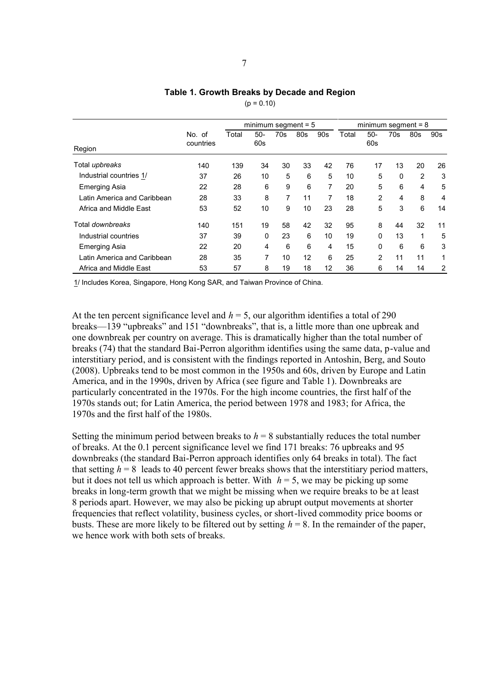#### **Table 1. Growth Breaks by Decade and Region**

 $(p = 0.10)$ 

|                             |                     | minimum segment $= 5$ |              |                |     |     | minimum segment $= 8$ |                |     |     |     |
|-----------------------------|---------------------|-----------------------|--------------|----------------|-----|-----|-----------------------|----------------|-----|-----|-----|
| Region                      | No. of<br>countries | Total                 | $50-$<br>60s | 70s            | 80s | 90s | Total                 | $50-$<br>60s   | 70s | 80s | 90s |
| Total upbreaks              | 140                 | 139                   | 34           | 30             | 33  | 42  | 76                    | 17             | 13  | 20  | 26  |
| Industrial countries 1/     | 37                  | 26                    | 10           | 5              | 6   | 5   | 10                    | 5              | 0   | 2   | 3   |
| <b>Emerging Asia</b>        | 22                  | 28                    | 6            | 9              | 6   | 7   | 20                    | 5              | 6   | 4   | 5   |
| Latin America and Caribbean | 28                  | 33                    | 8            | $\overline{7}$ | 11  | 7   | 18                    | $\overline{2}$ | 4   | 8   | 4   |
| Africa and Middle East      | 53                  | 52                    | 10           | 9              | 10  | 23  | 28                    | 5              | 3   | 6   | 14  |
| Total downbreaks            | 140                 | 151                   | 19           | 58             | 42  | 32  | 95                    | 8              | 44  | 32  | 11  |
| Industrial countries        | 37                  | 39                    | 0            | 23             | 6   | 10  | 19                    | $\Omega$       | 13  | 1   | 5   |
| <b>Emerging Asia</b>        | 22                  | 20                    | 4            | 6              | 6   | 4   | 15                    | $\Omega$       | 6   | 6   | 3   |
| Latin America and Caribbean | 28                  | 35                    | 7            | 10             | 12  | 6   | 25                    | $\overline{2}$ | 11  | 11  | 1   |
| Africa and Middle East      | 53                  | 57                    | 8            | 19             | 18  | 12  | 36                    | 6              | 14  | 14  | 2   |

1/ Includes Korea, Singapore, Hong Kong SAR, and Taiwan Province of China.

At the ten percent significance level and  $h = 5$ , our algorithm identifies a total of 290 breaks—139 "upbreaks" and 151 "downbreaks", that is, a little more than one upbreak and one downbreak per country on average. This is dramatically higher than the total number of breaks (74) that the standard Bai-Perron algorithm identifies using the same data, p-value and interstitiary period, and is consistent with the findings reported in Antoshin, Berg, and Souto (2008). Upbreaks tend to be most common in the 1950s and 60s, driven by Europe and Latin America, and in the 1990s, driven by Africa (see figure and Table 1). Downbreaks are particularly concentrated in the 1970s. For the high income countries, the first half of the 1970s stands out; for Latin America, the period between 1978 and 1983; for Africa, the 1970s and the first half of the 1980s.

Setting the minimum period between breaks to  $h = 8$  substantially reduces the total number of breaks. At the 0.1 percent significance level we find 171 breaks: 76 upbreaks and 95 downbreaks (the standard Bai-Perron approach identifies only 64 breaks in total). The fact that setting  $h = 8$  leads to 40 percent fewer breaks shows that the interstitiary period matters, but it does not tell us which approach is better. With  $h = 5$ , we may be picking up some breaks in long-term growth that we might be missing when we require breaks to be at least 8 periods apart. However, we may also be picking up abrupt output movements at shorter frequencies that reflect volatility, business cycles, or short-lived commodity price booms or busts. These are more likely to be filtered out by setting  $h = 8$ . In the remainder of the paper, we hence work with both sets of breaks.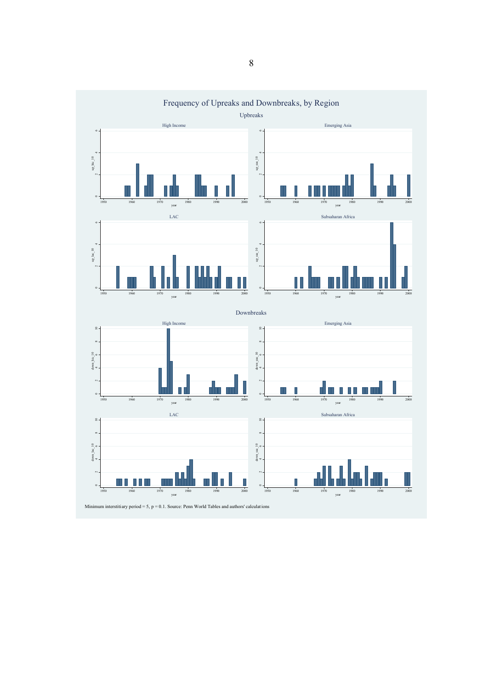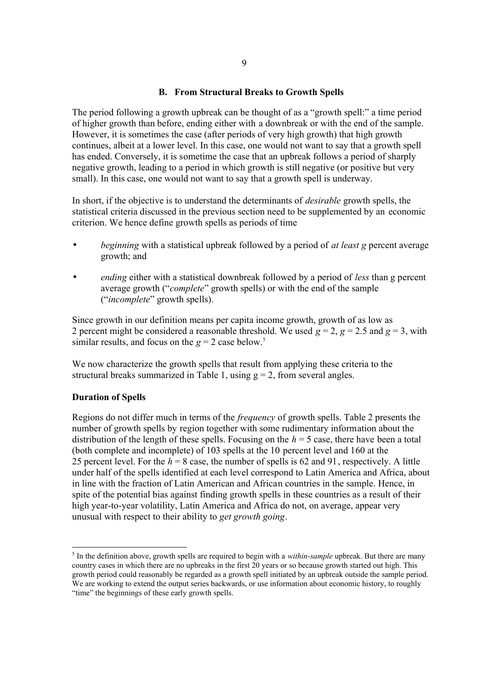## **B. From Structural Breaks to Growth Spells**

The period following a growth upbreak can be thought of as a "growth spell:" a time period of higher growth than before, ending either with a downbreak or with the end of the sample. However, it is sometimes the case (after periods of very high growth) that high growth continues, albeit at a lower level. In this case, one would not want to say that a growth spell has ended. Conversely, it is sometime the case that an upbreak follows a period of sharply negative growth, leading to a period in which growth is still negative (or positive but very small). In this case, one would not want to say that a growth spell is underway.

In short, if the objective is to understand the determinants of *desirable* growth spells, the statistical criteria discussed in the previous section need to be supplemented by an economic criterion. We hence define growth spells as periods of time

- *beginning* with a statistical upbreak followed by a period of *at least g* percent average growth; and
- *ending* either with a statistical downbreak followed by a period of *less* than g percent average growth ("*complete*" growth spells) or with the end of the sample ("*incomplete*" growth spells).

Since growth in our definition means per capita income growth, growth of as low as 2 percent might be considered a reasonable threshold. We used  $g = 2$ ,  $g = 2.5$  and  $g = 3$ , with similar results, and focus on the  $g = 2$  case below.<sup>5</sup>

We now characterize the growth spells that result from applying these criteria to the structural breaks summarized in Table 1, using  $g = 2$ , from several angles.

## **Duration of Spells**

Regions do not differ much in terms of the *frequency* of growth spells. Table 2 presents the number of growth spells by region together with some rudimentary information about the distribution of the length of these spells. Focusing on the  $h = 5$  case, there have been a total (both complete and incomplete) of 103 spells at the 10 percent level and 160 at the 25 percent level. For the *h* = 8 case, the number of spells is 62 and 91, respectively. A little under half of the spells identified at each level correspond to Latin America and Africa, about in line with the fraction of Latin American and African countries in the sample. Hence, in spite of the potential bias against finding growth spells in these countries as a result of their high year-to-year volatility, Latin America and Africa do not, on average, appear very unusual with respect to their ability to *get growth going*.

<sup>&</sup>lt;sup>5</sup> In the definition above, growth spells are required to begin with a *within-sample* upbreak. But there are many country cases in which there are no upbreaks in the first 20 years or so because growth started out high. This growth period could reasonably be regarded as a growth spell initiated by an upbreak outside the sample period. We are working to extend the output series backwards, or use information about economic history, to roughly "time" the beginnings of these early growth spells.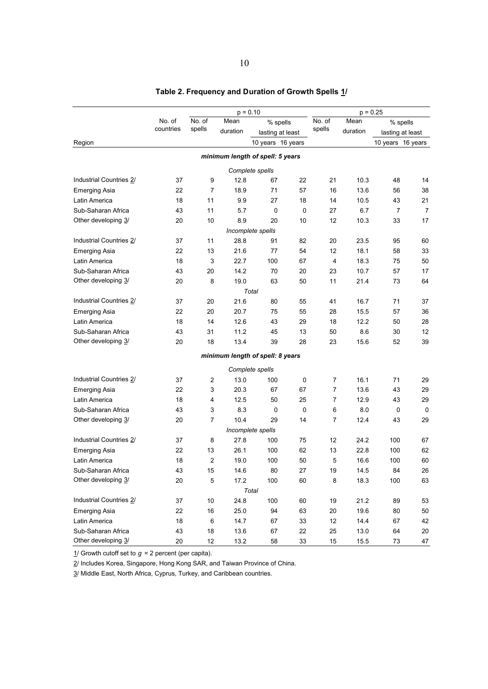| $p = 0.10$              |                                      |        |                                  | $p = 0.25$        |                  |                |          |                   |                  |
|-------------------------|--------------------------------------|--------|----------------------------------|-------------------|------------------|----------------|----------|-------------------|------------------|
|                         | No. of<br>No. of<br>Mean<br>% spells |        |                                  | No. of            | Mean             | % spells       |          |                   |                  |
|                         | countries                            | spells | duration                         |                   | lasting at least | spells         | duration |                   | lasting at least |
| Region                  |                                      |        |                                  | 10 years 16 years |                  |                |          | 10 years 16 years |                  |
|                         |                                      |        | minimum length of spell: 5 years |                   |                  |                |          |                   |                  |
|                         |                                      |        |                                  | Complete spells   |                  |                |          |                   |                  |
| Industrial Countries 2/ | 37                                   | 9      | 12.8                             | 67                | 22               | 21             | 10.3     | 48                | 14               |
| <b>Emerging Asia</b>    | 22                                   | 7      | 18.9                             | 71                | 57               | 16             | 13.6     | 56                | 38               |
| Latin America           | 18                                   | 11     | 9.9                              | 27                | 18               | 14             | 10.5     | 43                | 21               |
| Sub-Saharan Africa      | 43                                   | 11     | 5.7                              | 0                 | $\mathbf 0$      | 27             | 6.7      | 7                 | $\overline{7}$   |
| Other developing 3/     | 20                                   | 10     | 8.9                              | 20                | 10               | 12             | 10.3     | 33                | 17               |
|                         |                                      |        |                                  | Incomplete spells |                  |                |          |                   |                  |
| Industrial Countries 2/ | 37                                   | 11     | 28.8                             | 91                | 82               | 20             | 23.5     | 95                | 60               |
| <b>Emerging Asia</b>    | 22                                   | 13     | 21.6                             | 77                | 54               | 12             | 18.1     | 58                | 33               |
| Latin America           | 18                                   | 3      | 22.7                             | 100               | 67               | 4              | 18.3     | 75                | 50               |
| Sub-Saharan Africa      | 43                                   | 20     | 14.2                             | 70                | 20               | 23             | 10.7     | 57                | 17               |
| Other developing 3/     | 20                                   | 8      | 19.0                             | 63                | 50               | 11             | 21.4     | 73                | 64               |
|                         |                                      |        |                                  | Total             |                  |                |          |                   |                  |
| Industrial Countries 2/ | 37                                   | 20     | 21.6                             | 80                | 55               | 41             | 16.7     | 71                | 37               |
| <b>Emerging Asia</b>    | 22                                   | 20     | 20.7                             | 75                | 55               | 28             | 15.5     | 57                | 36               |
| Latin America           | 18                                   | 14     | 12.6                             | 43                | 29               | 18             | 12.2     | 50                | 28               |
| Sub-Saharan Africa      | 43                                   | 31     | 11.2                             | 45                | 13               | 50             | 8.6      | 30                | 12               |
| Other developing 3/     | 20                                   | 18     | 13.4                             | 39                | 28               | 23             | 15.6     | 52                | 39               |
|                         |                                      |        | minimum length of spell: 8 years |                   |                  |                |          |                   |                  |
|                         |                                      |        |                                  | Complete spells   |                  |                |          |                   |                  |
| Industrial Countries 2/ | 37                                   | 2      | 13.0                             | 100               | 0                | 7              | 16.1     | 71                | 29               |
| <b>Emerging Asia</b>    | 22                                   | 3      | 20.3                             | 67                | 67               | $\overline{7}$ | 13.6     | 43                | 29               |
| Latin America           | 18                                   | 4      | 12.5                             | 50                | 25               | 7              | 12.9     | 43                | 29               |
| Sub-Saharan Africa      | 43                                   | 3      | 8.3                              | 0                 | 0                | 6              | 8.0      | 0                 | 0                |
| Other developing 3/     | 20                                   | 7      | 10.4                             | 29                | 14               | 7              | 12.4     | 43                | 29               |
|                         |                                      |        |                                  | Incomplete spells |                  |                |          |                   |                  |
| Industrial Countries 2/ | 37                                   | 8      | 27.8                             | 100               | 75               | 12             | 24.2     | 100               | 67               |
| <b>Emerging Asia</b>    | 22                                   | 13     | 26.1                             | 100               | 62               | 13             | 22.8     | 100               | 62               |
| Latin America           | 18                                   | 2      | 19.0                             | 100               | 50               | 5              | 16.6     | 100               | 60               |
| Sub-Saharan Africa      | 43                                   | 15     | 14.6                             | 80                | 27               | 19             | 14.5     | 84                | 26               |
| Other developing 3/     | 20                                   | 5      | 17.2                             | 100               | 60               | 8              | 18.3     | 100               | 63               |
|                         |                                      |        |                                  | Total             |                  |                |          |                   |                  |
| Industrial Countries 2/ | 37                                   | 10     | 24.8                             | 100               | 60               | 19             | 21.2     | 89                | 53               |
| <b>Emerging Asia</b>    | 22                                   | 16     | 25.0                             | 94                | 63               | 20             | 19.6     | 80                | 50               |
| Latin America           | 18                                   | 6      | 14.7                             | 67                | 33               | 12             | 14.4     | 67                | 42               |
| Sub-Saharan Africa      | 43                                   | 18     | 13.6                             | 67                | 22               | 25             | 13.0     | 64                | 20               |
| Other developing 3/     | 20                                   | 12     | 13.2                             | 58                | $33\,$           | 15             | 15.5     | 73                | 47               |

# **Table 2. Frequency and Duration of Growth Spells 1/**

1/ Growth cutoff set to  $g = 2$  percent (per capita).

2/ Includes Korea, Singapore, Hong Kong SAR, and Taiwan Province of China.

3/ Middle East, North Africa, Cyprus, Turkey, and Caribbean countries.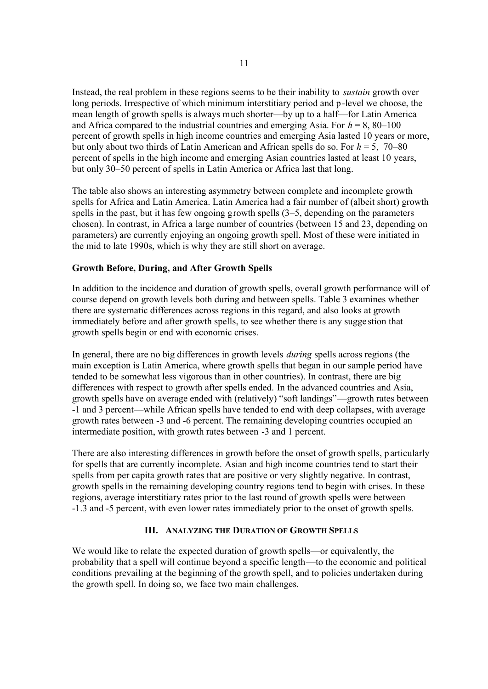Instead, the real problem in these regions seems to be their inability to *sustain* growth over long periods. Irrespective of which minimum interstitiary period and p-level we choose, the mean length of growth spells is always much shorter—by up to a half—for Latin America and Africa compared to the industrial countries and emerging Asia. For  $h = 8,80-100$ percent of growth spells in high income countries and emerging Asia lasted 10 years or more, but only about two thirds of Latin American and African spells do so. For *h* = 5, 70–80 percent of spells in the high income and emerging Asian countries lasted at least 10 years, but only 30–50 percent of spells in Latin America or Africa last that long.

The table also shows an interesting asymmetry between complete and incomplete growth spells for Africa and Latin America. Latin America had a fair number of (albeit short) growth spells in the past, but it has few ongoing growth spells (3–5, depending on the parameters chosen). In contrast, in Africa a large number of countries (between 15 and 23, depending on parameters) are currently enjoying an ongoing growth spell. Most of these were initiated in the mid to late 1990s, which is why they are still short on average.

# **Growth Before, During, and After Growth Spells**

In addition to the incidence and duration of growth spells, overall growth performance will of course depend on growth levels both during and between spells. Table 3 examines whether there are systematic differences across regions in this regard, and also looks at growth immediately before and after growth spells, to see whether there is any sugge stion that growth spells begin or end with economic crises.

In general, there are no big differences in growth levels *during* spells across regions (the main exception is Latin America, where growth spells that began in our sample period have tended to be somewhat less vigorous than in other countries). In contrast, there are big differences with respect to growth after spells ended. In the advanced countries and Asia, growth spells have on average ended with (relatively) "soft landings"—growth rates between -1 and 3 percent—while African spells have tended to end with deep collapses, with average growth rates between -3 and -6 percent. The remaining developing countries occupied an intermediate position, with growth rates between -3 and 1 percent.

There are also interesting differences in growth before the onset of growth spells, p articularly for spells that are currently incomplete. Asian and high income countries tend to start their spells from per capita growth rates that are positive or very slightly negative. In contrast, growth spells in the remaining developing country regions tend to begin with crises. In these regions, average interstitiary rates prior to the last round of growth spells were between -1.3 and -5 percent, with even lower rates immediately prior to the onset of growth spells.

## **III. ANALYZING THE DURATION OF GROWTH SPELLS**

We would like to relate the expected duration of growth spells—or equivalently, the probability that a spell will continue beyond a specific length—to the economic and political conditions prevailing at the beginning of the growth spell, and to policies undertaken during the growth spell. In doing so, we face two main challenges.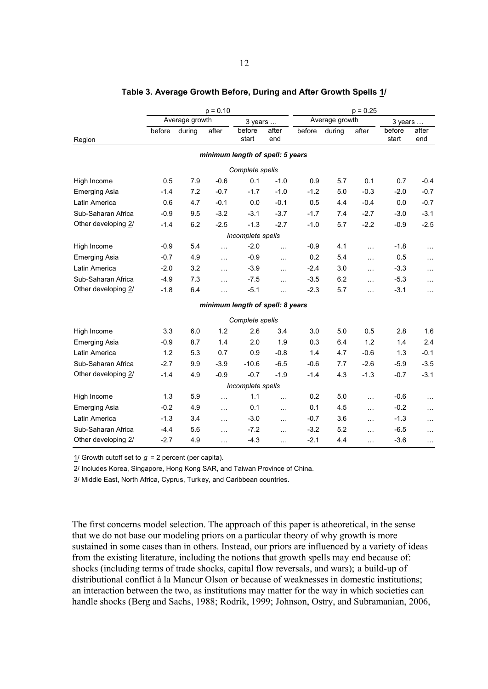|                      |        |                | $p = 0.10$ |                                  |              |        |                | $p = 0.25$ |                 |              |
|----------------------|--------|----------------|------------|----------------------------------|--------------|--------|----------------|------------|-----------------|--------------|
|                      |        | Average growth |            | 3 years                          |              |        | Average growth |            | 3 years         |              |
| Region               | before | during         | after      | before<br>start                  | after<br>end | before | during         | after      | before<br>start | after<br>end |
|                      |        |                |            | minimum length of spell: 5 years |              |        |                |            |                 |              |
|                      |        |                |            | Complete spells                  |              |        |                |            |                 |              |
| High Income          | 0.5    | 7.9            | $-0.6$     | 0.1                              | $-1.0$       | 0.9    | 5.7            | 0.1        | 0.7             | $-0.4$       |
| <b>Emerging Asia</b> | $-1.4$ | 7.2            | $-0.7$     | $-1.7$                           | $-1.0$       | $-1.2$ | 5.0            | $-0.3$     | $-2.0$          | $-0.7$       |
| Latin America        | 0.6    | 4.7            | $-0.1$     | 0.0                              | $-0.1$       | 0.5    | 4.4            | $-0.4$     | 0.0             | $-0.7$       |
| Sub-Saharan Africa   | $-0.9$ | 9.5            | $-3.2$     | $-3.1$                           | $-3.7$       | $-1.7$ | 7.4            | $-2.7$     | $-3.0$          | $-3.1$       |
| Other developing 2/  | $-1.4$ | 6.2            | $-2.5$     | $-1.3$                           | $-2.7$       | $-1.0$ | 5.7            | $-2.2$     | $-0.9$          | $-2.5$       |
|                      |        |                |            | Incomplete spells                |              |        |                |            |                 |              |
| High Income          | $-0.9$ | 5.4            | $\ddotsc$  | $-2.0$                           | $\ddotsc$    | $-0.9$ | 4.1            | $\cdots$   | $-1.8$          | $\ddotsc$    |
| <b>Emerging Asia</b> | $-0.7$ | 4.9            | .          | $-0.9$                           | $\ddotsc$    | 0.2    | 5.4            | $\ddotsc$  | 0.5             | $\ldots$     |
| Latin America        | $-2.0$ | 3.2            | $\ddotsc$  | $-3.9$                           | $\ldots$     | $-2.4$ | 3.0            | $\ddotsc$  | $-3.3$          | $\ldots$     |
| Sub-Saharan Africa   | $-4.9$ | 7.3            | $\ddotsc$  | $-7.5$                           | $\ddotsc$    | $-3.5$ | 6.2            | $\cdots$   | $-5.3$          | $\ldots$     |
| Other developing 2/  | $-1.8$ | 6.4            | .          | $-5.1$                           | $\ddotsc$    | $-2.3$ | 5.7            | $\ddotsc$  | $-3.1$          | $\ldots$     |
|                      |        |                |            | minimum length of spell: 8 years |              |        |                |            |                 |              |
|                      |        |                |            | Complete spells                  |              |        |                |            |                 |              |
| High Income          | 3.3    | 6.0            | 1.2        | 2.6                              | 3.4          | 3.0    | 5.0            | 0.5        | 2.8             | 1.6          |
| <b>Emerging Asia</b> | $-0.9$ | 8.7            | 1.4        | 2.0                              | 1.9          | 0.3    | 6.4            | 1.2        | 1.4             | 2.4          |
| Latin America        | 1.2    | 5.3            | 0.7        | 0.9                              | $-0.8$       | 1.4    | 4.7            | $-0.6$     | 1.3             | $-0.1$       |
| Sub-Saharan Africa   | $-2.7$ | 9.9            | $-3.9$     | $-10.6$                          | $-6.5$       | $-0.6$ | 7.7            | $-2.6$     | $-5.9$          | $-3.5$       |
| Other developing 2/  | $-1.4$ | 4.9            | $-0.9$     | $-0.7$                           | $-1.9$       | $-1.4$ | 4.3            | $-1.3$     | $-0.7$          | $-3.1$       |
|                      |        |                |            | Incomplete spells                |              |        |                |            |                 |              |
| High Income          | 1.3    | 5.9            | .          | 1.1                              | $\ddotsc$    | 0.2    | 5.0            | $\ddotsc$  | $-0.6$          | .            |
| <b>Emerging Asia</b> | $-0.2$ | 4.9            | .          | 0.1                              | $\cdots$     | 0.1    | 4.5            | $\cdots$   | $-0.2$          | $\ldots$     |
| Latin America        | $-1.3$ | 3.4            | $\ldots$   | $-3.0$                           | $\ldots$     | $-0.7$ | 3.6            | $\cdots$   | $-1.3$          | $\ldots$     |
| Sub-Saharan Africa   | $-4.4$ | 5.6            | $\cdots$   | $-7.2$                           | $\ddotsc$    | $-3.2$ | 5.2            | $\ddotsc$  | $-6.5$          | $\cdots$     |
| Other developing 2/  | $-2.7$ | 4.9            | $\ddotsc$  | $-4.3$                           | $\ddotsc$    | $-2.1$ | 4.4            | $\ddotsc$  | $-3.6$          | $\cdots$     |

#### **Table 3. Average Growth Before, During and After Growth Spells 1/**

1/ Growth cutoff set to  $g = 2$  percent (per capita).

2/ Includes Korea, Singapore, Hong Kong SAR, and Taiwan Province of China.

3/ Middle East, North Africa, Cyprus, Turkey, and Caribbean countries.

The first concerns model selection. The approach of this paper is atheoretical, in the sense that we do not base our modeling priors on a particular theory of why growth is more sustained in some cases than in others. Instead, our priors are influenced by a variety of ideas from the existing literature, including the notions that growth spells may end because of: shocks (including terms of trade shocks, capital flow reversals, and wars); a build-up of distributional conflict à la Mancur Olson or because of weaknesses in domestic institutions; an interaction between the two, as institutions may matter for the way in which societies can handle shocks (Berg and Sachs, 1988; Rodrik, 1999; Johnson, Ostry, and Subramanian, 2006,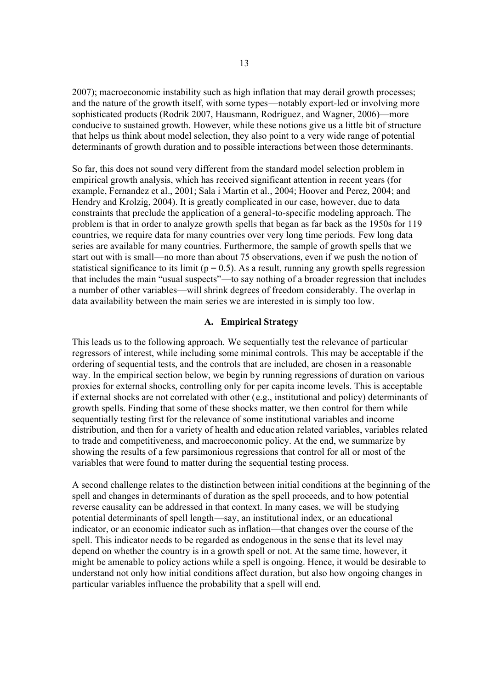2007); macroeconomic instability such as high inflation that may derail growth processes; and the nature of the growth itself, with some types—notably export-led or involving more sophisticated products (Rodrik 2007, Hausmann, Rodriguez, and Wagner, 2006)—more conducive to sustained growth. However, while these notions give us a little bit of structure that helps us think about model selection, they also point to a very wide range of potential determinants of growth duration and to possible interactions between those determinants.

So far, this does not sound very different from the standard model selection problem in empirical growth analysis, which has received significant attention in recent years (for example, Fernandez et al., 2001; Sala i Martin et al., 2004; Hoover and Perez, 2004; and Hendry and Krolzig, 2004). It is greatly complicated in our case, however, due to data constraints that preclude the application of a general-to-specific modeling approach. The problem is that in order to analyze growth spells that began as far back as the 1950s for 119 countries, we require data for many countries over very long time periods. Few long data series are available for many countries. Furthermore, the sample of growth spells that we start out with is small—no more than about 75 observations, even if we push the notion of statistical significance to its limit ( $p = 0.5$ ). As a result, running any growth spells regression that includes the main "usual suspects"—to say nothing of a broader regression that includes a number of other variables—will shrink degrees of freedom considerably. The overlap in data availability between the main series we are interested in is simply too low.

### **A. Empirical Strategy**

This leads us to the following approach. We sequentially test the relevance of particular regressors of interest, while including some minimal controls. This may be acceptable if the ordering of sequential tests, and the controls that are included, are chosen in a reasonable way. In the empirical section below, we begin by running regressions of duration on various proxies for external shocks, controlling only for per capita income levels. This is acceptable if external shocks are not correlated with other (e.g., institutional and policy) determinants of growth spells. Finding that some of these shocks matter, we then control for them while sequentially testing first for the relevance of some institutional variables and income distribution, and then for a variety of health and education related variables, variables related to trade and competitiveness, and macroeconomic policy. At the end, we summarize by showing the results of a few parsimonious regressions that control for all or most of the variables that were found to matter during the sequential testing process.

A second challenge relates to the distinction between initial conditions at the beginning of the spell and changes in determinants of duration as the spell proceeds, and to how potential reverse causality can be addressed in that context. In many cases, we will be studying potential determinants of spell length—say, an institutional index, or an educational indicator, or an economic indicator such as inflation—that changes over the course of the spell. This indicator needs to be regarded as endogenous in the sense that its level may depend on whether the country is in a growth spell or not. At the same time, however, it might be amenable to policy actions while a spell is ongoing. Hence, it would be desirable to understand not only how initial conditions affect duration, but also how ongoing changes in particular variables influence the probability that a spell will end.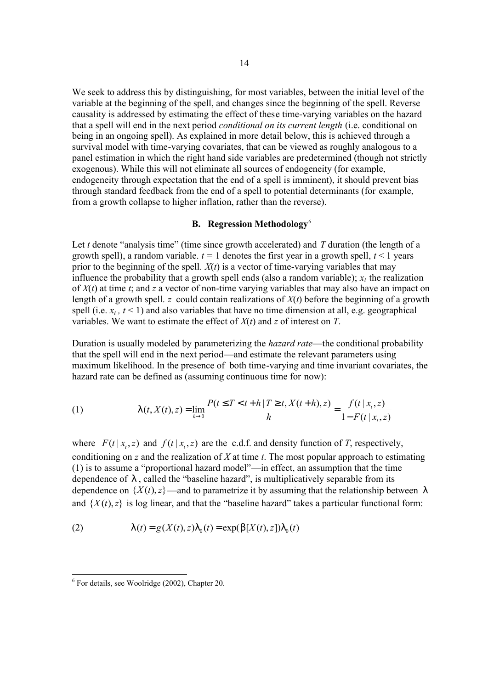We seek to address this by distinguishing, for most variables, between the initial level of the variable at the beginning of the spell, and changes since the beginning of the spell. Reverse causality is addressed by estimating the effect of these time-varying variables on the hazard that a spell will end in the next period *conditional on its current length* (i.e. conditional on being in an ongoing spell). As explained in more detail below, this is achieved through a survival model with time-varying covariates, that can be viewed as roughly analogous to a panel estimation in which the right hand side variables are predetermined (though not strictly exogenous). While this will not eliminate all sources of endogeneity (for example, endogeneity through expectation that the end of a spell is imminent), it should prevent bias through standard feedback from the end of a spell to potential determinants (for example, from a growth collapse to higher inflation, rather than the reverse).

### **B. Regression Methodology**<sup>6</sup>

Let *t* denote "analysis time" (time since growth accelerated) and *T* duration (the length of a growth spell), a random variable.  $t = 1$  denotes the first year in a growth spell,  $t \le 1$  years prior to the beginning of the spell. *X*(*t*) is a vector of time-varying variables that may influence the probability that a growth spell ends (also a random variable);  $x<sub>t</sub>$  the realization of *X*(*t*) at time *t*; and *z* a vector of non-time varying variables that may also have an impact on length of a growth spell. *z* could contain realizations of *X*(*t*) before the beginning of a growth spell (i.e.  $x_t$ ,  $t \le 1$ ) and also variables that have no time dimension at all, e.g. geographical variables. We want to estimate the effect of *X*(*t*) and *z* of interest on *T*.

Duration is usually modeled by parameterizing the *hazard rate*—the conditional probability that the spell will end in the next period—and estimate the relevant parameters using maximum likelihood. In the presence of both time-varying and time invariant covariates, the hazard rate can be defined as (assuming continuous time for now):

(1) 
$$
1 (t, X(t), z) = \lim_{h \to 0} \frac{P(t \le T < t + h | T \ge t, X(t+h), z)}{h} = \frac{f(t | x_t, z)}{1 - F(t | x_t, z)}
$$

where  $F(t | x_t, z)$  and  $f(t | x_t, z)$  are the c.d.f. and density function of *T*, respectively, conditioning on *z* and the realization of *X* at time *t*. The most popular approach to estimating (1) is to assume a "proportional hazard model"—in effect, an assumption that the time dependence of *l* , called the "baseline hazard", is multiplicatively separable from its dependence on  $\{X(t), z\}$ —and to parametrize it by assuming that the relationship between *l* and  $\{X(t), z\}$  is log linear, and that the "baseline hazard" takes a particular functional form:

(2) 
$$
\int (t) = g(X(t), z) \int_0^1 (t) = \exp(b[X(t), z]) \int_0^1 (t)
$$

 6 For details, see Woolridge (2002), Chapter 20.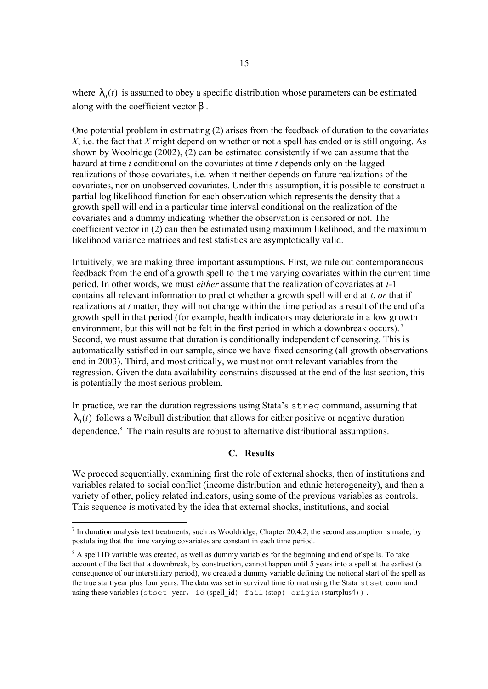where  $\mathcal{L}_{0}(t)$  is assumed to obey a specific distribution whose parameters can be estimated along with the coefficient vector *b* .

One potential problem in estimating (2) arises from the feedback of duration to the covariates *X*, i.e. the fact that *X* might depend on whether or not a spell has ended or is still ongoing. As shown by Woolridge (2002), (2) can be estimated consistently if we can assume that the hazard at time *t* conditional on the covariates at time *t* depends only on the lagged realizations of those covariates, i.e. when it neither depends on future realizations of the covariates, nor on unobserved covariates. Under this assumption, it is possible to construct a partial log likelihood function for each observation which represents the density that a growth spell will end in a particular time interval conditional on the realization of the covariates and a dummy indicating whether the observation is censored or not. The coefficient vector in (2) can then be estimated using maximum likelihood, and the maximum likelihood variance matrices and test statistics are asymptotically valid.

Intuitively, we are making three important assumptions. First, we rule out contemporaneous feedback from the end of a growth spell to the time varying covariates within the current time period. In other words, we must *either* assume that the realization of covariates at *t-*1 contains all relevant information to predict whether a growth spell will end at *t*, *or* that if realizations at *t* matter, they will not change within the time period as a result of the end of a growth spell in that period (for example, health indicators may deteriorate in a low gr owth environment, but this will not be felt in the first period in which a downbreak occurs).<sup>7</sup> Second, we must assume that duration is conditionally independent of censoring. This is automatically satisfied in our sample, since we have fixed censoring (all growth observations end in 2003). Third, and most critically, we must not omit relevant variables from the regression. Given the data availability constrains discussed at the end of the last section, this is potentially the most serious problem.

In practice, we ran the duration regressions using Stata's streg command, assuming that  $\iota_{0}(t)$  follows a Weibull distribution that allows for either positive or negative duration dependence.<sup>8</sup> The main results are robust to alternative distributional assumptions.

# **C. Results**

We proceed sequentially, examining first the role of external shocks, then of institutions and variables related to social conflict (income distribution and ethnic heterogeneity), and then a variety of other, policy related indicators, using some of the previous variables as controls. This sequence is motivated by the idea that external shocks, institutions, and social

<sup>-</sup> $<sup>7</sup>$  In duration analysis text treatments, such as Wooldridge, Chapter 20.4.2, the second assumption is made, by</sup> postulating that the time varying covariates are constant in each time period.

<sup>&</sup>lt;sup>8</sup> A spell ID variable was created, as well as dummy variables for the beginning and end of spells. To take account of the fact that a downbreak, by construction, cannot happen until 5 years into a spell at the earliest (a consequence of our interstitiary period), we created a dummy variable defining the notional start of the spell as the true start year plus four years. The data was set in survival time format using the Stata stset command using these variables (stset year, id(spell id) fail(stop) origin(startplus4)).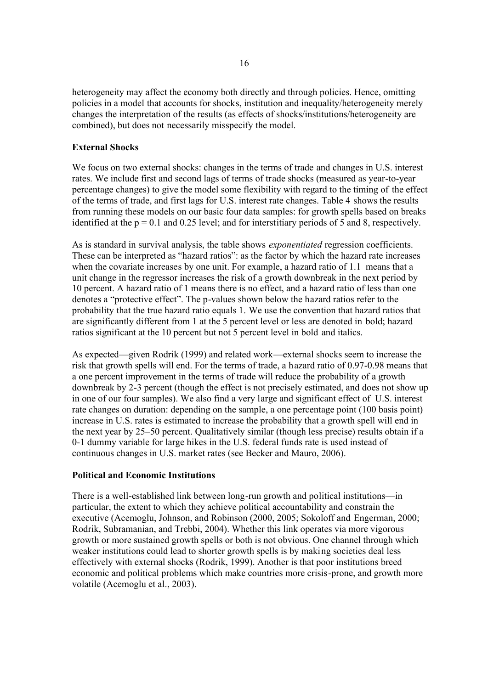heterogeneity may affect the economy both directly and through policies. Hence, omitting policies in a model that accounts for shocks, institution and inequality/heterogeneity merely changes the interpretation of the results (as effects of shocks/institutions/heterogeneity are combined), but does not necessarily misspecify the model.

## **External Shocks**

We focus on two external shocks: changes in the terms of trade and changes in U.S. interest rates. We include first and second lags of terms of trade shocks (measured as year-to-year percentage changes) to give the model some flexibility with regard to the timing of the effect of the terms of trade, and first lags for U.S. interest rate changes. Table 4 shows the results from running these models on our basic four data samples: for growth spells based on breaks identified at the  $p = 0.1$  and 0.25 level; and for interstitiary periods of 5 and 8, respectively.

As is standard in survival analysis, the table shows *exponentiated* regression coefficients. These can be interpreted as "hazard ratios": as the factor by which the hazard rate increases when the covariate increases by one unit. For example, a hazard ratio of 1.1 means that a unit change in the regressor increases the risk of a growth downbreak in the next period by 10 percent. A hazard ratio of 1 means there is no effect, and a hazard ratio of less than one denotes a "protective effect". The p-values shown below the hazard ratios refer to the probability that the true hazard ratio equals 1. We use the convention that hazard ratios that are significantly different from 1 at the 5 percent level or less are denoted in bold; hazard ratios significant at the 10 percent but not 5 percent level in bold and italics.

As expected—given Rodrik (1999) and related work—external shocks seem to increase the risk that growth spells will end. For the terms of trade, a hazard ratio of 0.97-0.98 means that a one percent improvement in the terms of trade will reduce the probability of a growth downbreak by 2-3 percent (though the effect is not precisely estimated, and does not show up in one of our four samples). We also find a very large and significant effect of U.S. interest rate changes on duration: depending on the sample, a one percentage point (100 basis point) increase in U.S. rates is estimated to increase the probability that a growth spell will end in the next year by 25–50 percent. Qualitatively similar (though less precise) results obtain if a 0-1 dummy variable for large hikes in the U.S. federal funds rate is used instead of continuous changes in U.S. market rates (see Becker and Mauro, 2006).

## **Political and Economic Institutions**

There is a well-established link between long-run growth and political institutions—in particular, the extent to which they achieve political accountability and constrain the executive (Acemoglu, Johnson, and Robinson (2000, 2005; Sokoloff and Engerman, 2000; Rodrik, Subramanian, and Trebbi, 2004). Whether this link operates via more vigorous growth or more sustained growth spells or both is not obvious. One channel through which weaker institutions could lead to shorter growth spells is by making societies deal less effectively with external shocks (Rodrik, 1999). Another is that poor institutions breed economic and political problems which make countries more crisis-prone, and growth more volatile (Acemoglu et al., 2003).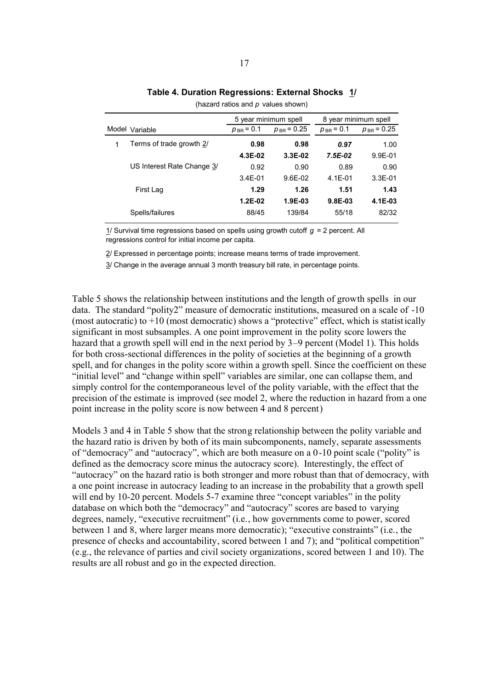|   |                            | 5 year minimum spell |                 | 8 year minimum spell |                 |
|---|----------------------------|----------------------|-----------------|----------------------|-----------------|
|   | Model Variable             | $p_{BR} = 0.1$       | $p_{BR}$ = 0.25 | $p_{BR}$ = 0.1       | $p_{BR}$ = 0.25 |
| 1 | Terms of trade growth 2/   | 0.98                 | 0.98            | 0.97                 | 1.00            |
|   |                            | 4.3E-02              | $3.3E-02$       | $7.5E-02$            | $9.9E - 01$     |
|   | US Interest Rate Change 3/ | 0.92                 | 0.90            | 0.89                 | 0.90            |
|   |                            | $3.4E - 01$          | $9.6E - 02$     | $4.1E - 01$          | $3.3E-01$       |
|   | First Lag                  | 1.29                 | 1.26            | 1.51                 | 1.43            |
|   |                            | $1.2E-02$            | $1.9E-03$       | 9.8E-03              | 4.1E-03         |
|   | Spells/failures            | 88/45                | 139/84          | 55/18                | 82/32           |
|   |                            |                      |                 |                      |                 |

## **Table 4. Duration Regressions: External Shocks 1/**

(hazard ratios and *p* values shown)

1/ Survival time regressions based on spells using growth cutoff *g* = 2 percent. All regressions control for initial income per capita.

2/ Expressed in percentage points; increase means terms of trade improvement.

3/ Change in the average annual 3 month treasury bill rate, in percentage points.

Table 5 shows the relationship between institutions and the length of growth spells in our data. The standard "polity2" measure of democratic institutions, measured on a scale of -10 (most autocratic) to  $+10$  (most democratic) shows a "protective" effect, which is statistically significant in most subsamples. A one point improvement in the polity score lowers the hazard that a growth spell will end in the next period by 3–9 percent (Model 1). This holds for both cross-sectional differences in the polity of societies at the beginning of a growth spell, and for changes in the polity score within a growth spell. Since the coefficient on these "initial level" and "change within spell" variables are similar, one can collapse them, and simply control for the contemporaneous level of the polity variable, with the effect that the precision of the estimate is improved (see model 2, where the reduction in hazard from a one point increase in the polity score is now between 4 and 8 percent)

Models 3 and 4 in Table 5 show that the strong relationship between the polity variable and the hazard ratio is driven by both of its main subcomponents, namely, separate assessments of "democracy" and "autocracy", which are both measure on a 0-10 point scale ("polity" is defined as the democracy score minus the autocracy score). Interestingly, the effect of "autocracy" on the hazard ratio is both stronger and more robust than that of democracy, with a one point increase in autocracy leading to an increase in the probability that a growth spell will end by 10-20 percent. Models 5-7 examine three "concept variables" in the polity database on which both the "democracy" and "autocracy" scores are based to varying degrees, namely, "executive recruitment" (i.e., how governments come to power, scored between 1 and 8, where larger means more democratic); "executive constraints" (i.e., the presence of checks and accountability, scored between 1 and 7); and "political competition" (e.g., the relevance of parties and civil society organizations, scored between 1 and 10). The results are all robust and go in the expected direction.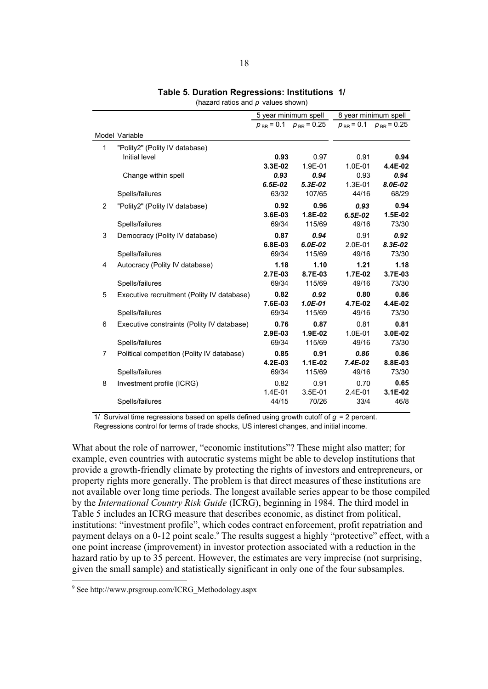|                |                                            |                    | 5 year minimum spell           |                     | 8 year minimum spell           |
|----------------|--------------------------------------------|--------------------|--------------------------------|---------------------|--------------------------------|
|                |                                            |                    | $p_{BR}$ = 0.1 $p_{BR}$ = 0.25 |                     | $p_{BR}$ = 0.1 $p_{BR}$ = 0.25 |
|                | Model Variable                             |                    |                                |                     |                                |
| 1              | "Polity2" (Polity IV database)             |                    |                                |                     |                                |
|                | Initial level                              | 0.93               | 0.97                           | 0.91                | 0.94                           |
|                |                                            | 3.3E-02            | 1.9E-01                        | 1.0E-01             | 4.4E-02                        |
|                | Change within spell                        | 0.93               | 0.94                           | 0.93                | 0.94                           |
|                |                                            | $6.5E-02$<br>63/32 | $5.3E-02$<br>107/65            | 1.3E-01<br>44/16    | 8.0E-02<br>68/29               |
|                | Spells/failures                            |                    |                                |                     |                                |
| 2              | "Polity2" (Polity IV database)             | 0.92<br>3.6E-03    | 0.96<br>1.8E-02                | 0.93<br>$6.5E-02$   | 0.94<br>1.5E-02                |
|                | Spells/failures                            | 69/34              | 115/69                         | 49/16               | 73/30                          |
| 3              |                                            | 0.87               | 0.94                           | 0.91                | 0.92                           |
|                | Democracy (Polity IV database)             | 6.8E-03            | $6.0E-02$                      | $2.0E-01$           | 8.3E-02                        |
|                | Spells/failures                            | 69/34              | 115/69                         | 49/16               | 73/30                          |
| 4              | Autocracy (Polity IV database)             | 1.18               | 1.10                           | 1.21                | 1.18                           |
|                |                                            | $2.7E-03$          | 8.7E-03                        | 1.7E-02             | 3.7E-03                        |
|                | Spells/failures                            | 69/34              | 115/69                         | 49/16               | 73/30                          |
| 5              | Executive recruitment (Polity IV database) | 0.82               | 0.92                           | 0.80                | 0.86                           |
|                |                                            | 7.6E-03            | $1.0E-01$                      | 4.7E-02             | 4.4E-02                        |
|                | Spells/failures                            | 69/34              | 115/69                         | 49/16               | 73/30                          |
| 6              | Executive constraints (Polity IV database) | 0.76               | 0.87                           | 0.81                | 0.81                           |
|                |                                            | 2.9E-03            | 1.9E-02                        | 1.0E-01             | 3.0E-02                        |
|                | Spells/failures                            | 69/34              | 115/69                         | 49/16               | 73/30                          |
| $\overline{7}$ | Political competition (Polity IV database) | 0.85               | 0.91                           | 0.86                | 0.86                           |
|                |                                            | 4.2E-03            | $1.1E-02$                      | $7.4E-02$           | 8.8E-03                        |
|                | Spells/failures                            | 69/34              | 115/69                         | 49/16               | 73/30                          |
| 8              | Investment profile (ICRG)                  | 0.82               | 0.91                           | 0.70                | 0.65                           |
|                | Spells/failures                            | 1.4E-01<br>44/15   | 3.5E-01<br>70/26               | $2.4E - 01$<br>33/4 | 3.1E-02<br>46/8                |
|                |                                            |                    |                                |                     |                                |

## **Table 5. Duration Regressions: Institutions 1/**

(hazard ratios and *p* values shown)

1/ Survival time regressions based on spells defined using growth cutoff of *g* = 2 percent. Regressions control for terms of trade shocks, US interest changes, and initial income.

What about the role of narrower, "economic institutions"? These might also matter; for example, even countries with autocratic systems might be able to develop institutions that provide a growth-friendly climate by protecting the rights of investors and entrepreneurs, or property rights more generally. The problem is that direct measures of these institutions are not available over long time periods. The longest available series appear to be those compiled by the *International Country Risk Guide* (ICRG), beginning in 1984. The third model in Table 5 includes an ICRG measure that describes economic, as distinct from political, institutions: "investment profile", which codes contract enforcement, profit repatriation and payment delays on a 0-12 point scale.<sup>9</sup> The results suggest a highly "protective" effect, with a one point increase (improvement) in investor protection associated with a reduction in the hazard ratio by up to 35 percent. However, the estimates are very imprecise (not surprising, given the small sample) and statistically significant in only one of the four subsamples.

 9 See http://www.prsgroup.com/ICRG\_Methodology.aspx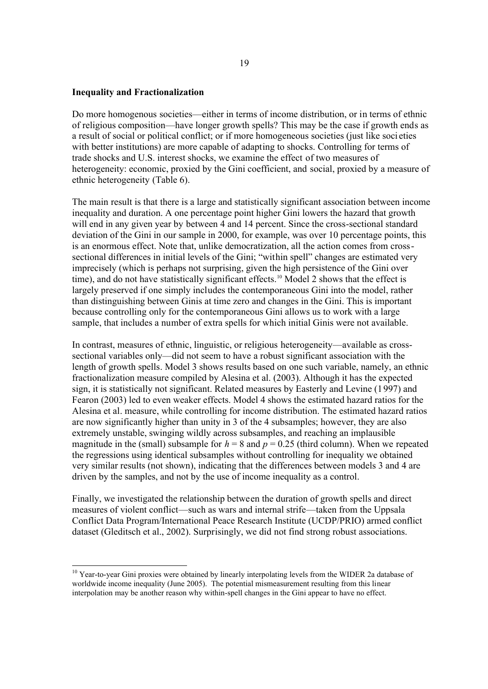#### **Inequality and Fractionalization**

-

Do more homogenous societies—either in terms of income distribution, or in terms of ethnic of religious composition—have longer growth spells? This may be the case if growth ends as a result of social or political conflict; or if more homogeneous societies (just like soci eties with better institutions) are more capable of adapting to shocks. Controlling for terms of trade shocks and U.S. interest shocks, we examine the effect of two measures of heterogeneity: economic, proxied by the Gini coefficient, and social, proxied by a measure of ethnic heterogeneity (Table 6).

The main result is that there is a large and statistically significant association between income inequality and duration. A one percentage point higher Gini lowers the hazard that growth will end in any given year by between 4 and 14 percent. Since the cross-sectional standard deviation of the Gini in our sample in 2000, for example, was over 10 percentage points, this is an enormous effect. Note that, unlike democratization, all the action comes from crosssectional differences in initial levels of the Gini; "within spell" changes are estimated very imprecisely (which is perhaps not surprising, given the high persistence of the Gini over time), and do not have statistically significant effects.<sup>10</sup> Model 2 shows that the effect is largely preserved if one simply includes the contemporaneous Gini into the model, rather than distinguishing between Ginis at time zero and changes in the Gini. This is important because controlling only for the contemporaneous Gini allows us to work with a large sample, that includes a number of extra spells for which initial Ginis were not available.

In contrast, measures of ethnic, linguistic, or religious heterogeneity—available as crosssectional variables only—did not seem to have a robust significant association with the length of growth spells. Model 3 shows results based on one such variable, namely, an ethnic fractionalization measure compiled by Alesina et al. (2003). Although it has the expected sign, it is statistically not significant. Related measures by Easterly and Levine (1997) and Fearon (2003) led to even weaker effects. Model 4 shows the estimated hazard ratios for the Alesina et al. measure, while controlling for income distribution. The estimated hazard ratios are now significantly higher than unity in 3 of the 4 subsamples; however, they are also extremely unstable, swinging wildly across subsamples, and reaching an implausible magnitude in the (small) subsample for  $h = 8$  and  $p = 0.25$  (third column). When we repeated the regressions using identical subsamples without controlling for inequality we obtained very similar results (not shown), indicating that the differences between models 3 and 4 are driven by the samples, and not by the use of income inequality as a control.

Finally, we investigated the relationship between the duration of growth spells and direct measures of violent conflict—such as wars and internal strife—taken from the Uppsala Conflict Data Program/International Peace Research Institute (UCDP/PRIO) armed conflict dataset (Gleditsch et al., 2002). Surprisingly, we did not find strong robust associations.

<sup>&</sup>lt;sup>10</sup> Year-to-year Gini proxies were obtained by linearly interpolating levels from the WIDER 2a database of worldwide income inequality (June 2005). The potential mismeasurement resulting from this linear interpolation may be another reason why within-spell changes in the Gini appear to have no effect.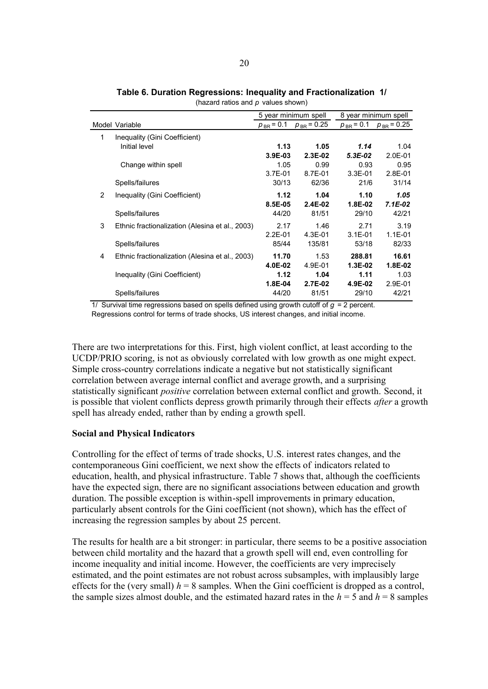|                |                                                 | 5 year minimum spell |                 |                | 8 year minimum spell |
|----------------|-------------------------------------------------|----------------------|-----------------|----------------|----------------------|
|                | Model Variable                                  | $p_{BR}$ = 0.1       | $p_{BR}$ = 0.25 | $p_{BR}$ = 0.1 | $p_{BR}$ = 0.25      |
| 1              | Inequality (Gini Coefficient)                   |                      |                 |                |                      |
|                | Initial level                                   | 1.13                 | 1.05            | 1.14           | 1.04                 |
|                |                                                 | 3.9E-03              | $2.3E-02$       | $5.3E-02$      | $2.0E - 01$          |
|                | Change within spell                             | 1.05                 | 0.99            | 0.93           | 0.95                 |
|                |                                                 | $3.7E - 01$          | $8.7E - 01$     | $3.3E - 01$    | $2.8E - 01$          |
|                | Spells/failures                                 | 30/13                | 62/36           | 21/6           | 31/14                |
| $\overline{2}$ | Inequality (Gini Coefficient)                   | 1.12                 | 1.04            | 1.10           | 1.05                 |
|                |                                                 | 8.5E-05              | $2.4E-02$       | 1.8E-02        | $7.1E-02$            |
|                | Spells/failures                                 | 44/20                | 81/51           | 29/10          | 42/21                |
| 3              | Ethnic fractionalization (Alesina et al., 2003) | 2.17                 | 1.46            | 2.71           | 3.19                 |
|                |                                                 | $2.2E - 01$          | $4.3E - 01$     | $3.1E - 01$    | $1.1E - 01$          |
|                | Spells/failures                                 | 85/44                | 135/81          | 53/18          | 82/33                |
| 4              | Ethnic fractionalization (Alesina et al., 2003) | 11.70                | 1.53            | 288.81         | 16.61                |
|                |                                                 | 4.0E-02              | 4.9E-01         | $1.3E-02$      | 1.8E-02              |
|                | Inequality (Gini Coefficient)                   | 1.12                 | 1.04            | 1.11           | 1.03                 |
|                |                                                 | 1.8E-04              | 2.7E-02         | 4.9E-02        | $2.9E - 01$          |
|                | Spells/failures                                 | 44/20                | 81/51           | 29/10          | 42/21                |

**Table 6. Duration Regressions: Inequality and Fractionalization 1/** (hazard ratios and *p* values shown)

1/ Survival time regressions based on spells defined using growth cutoff of *g* = 2 percent. Regressions control for terms of trade shocks, US interest changes, and initial income.

There are two interpretations for this. First, high violent conflict, at least according to the UCDP/PRIO scoring, is not as obviously correlated with low growth as one might expect. Simple cross-country correlations indicate a negative but not statistically significant correlation between average internal conflict and average growth, and a surprising statistically significant *positive* correlation between external conflict and growth. Second, it is possible that violent conflicts depress growth primarily through their effects *after* a growth spell has already ended, rather than by ending a growth spell.

# **Social and Physical Indicators**

Controlling for the effect of terms of trade shocks, U.S. interest rates changes, and the contemporaneous Gini coefficient, we next show the effects of indicators related to education, health, and physical infrastructure. Table 7 shows that, although the coefficients have the expected sign, there are no significant associations between education and growth duration. The possible exception is within-spell improvements in primary education, particularly absent controls for the Gini coefficient (not shown), which has the effect of increasing the regression samples by about 25 percent.

The results for health are a bit stronger: in particular, there seems to be a positive association between child mortality and the hazard that a growth spell will end, even controlling for income inequality and initial income. However, the coefficients are very imprecisely estimated, and the point estimates are not robust across subsamples, with implausibly large effects for the (very small)  $h = 8$  samples. When the Gini coefficient is dropped as a control, the sample sizes almost double, and the estimated hazard rates in the  $h = 5$  and  $h = 8$  samples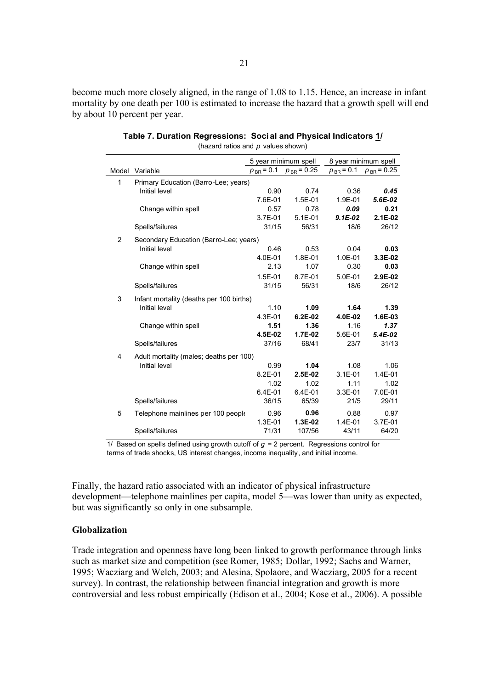become much more closely aligned, in the range of 1.08 to 1.15. Hence, an increase in infant mortality by one death per 100 is estimated to increase the hazard that a growth spell will end by about 10 percent per year.

|                |                                          |                | 5 year minimum spell |             | 8 year minimum spell           |
|----------------|------------------------------------------|----------------|----------------------|-------------|--------------------------------|
|                | Model Variable                           | $p_{BR} = 0.1$ | $p_{BR}$ = 0.25      |             | $p_{BR}$ = 0.1 $p_{BR}$ = 0.25 |
| $\mathbf{1}$   | Primary Education (Barro-Lee; years)     |                |                      |             |                                |
|                | Initial level                            | 0.90           | 0.74                 | 0.36        | 0.45                           |
|                |                                          | 7.6E-01        | 1.5E-01              | 1.9E-01     | $5.6E-02$                      |
|                | Change within spell                      | 0.57           | 0.78                 | 0.09        | 0.21                           |
|                |                                          | 3.7E-01        | $5.1E - 01$          | $9.1E-02$   | $2.1E-02$                      |
|                | Spells/failures                          | 31/15          | 56/31                | 18/6        | 26/12                          |
| $\overline{2}$ | Secondary Education (Barro-Lee; years)   |                |                      |             |                                |
|                | Initial level                            | 0.46           | 0.53                 | 0.04        | 0.03                           |
|                |                                          | 4.0E-01        | 1.8E-01              | 1.0E-01     | 3.3E-02                        |
|                | Change within spell                      | 2.13           | 1.07                 | 0.30        | 0.03                           |
|                |                                          | 1.5E-01        | 8.7E-01              | 5.0E-01     | 2.9E-02                        |
|                | Spells/failures                          | 31/15          | 56/31                | 18/6        | 26/12                          |
| 3              | Infant mortality (deaths per 100 births) |                |                      |             |                                |
|                | Initial level                            | 1.10           | 1.09                 | 1.64        | 1.39                           |
|                |                                          | 4.3E-01        | 6.2E-02              | 4.0E-02     | 1.6E-03                        |
|                | Change within spell                      | 1.51           | 1.36                 | 1.16        | 1.37                           |
|                |                                          | 4.5E-02        | 1.7E-02              | 5.6E-01     | $5.4E-02$                      |
|                | Spells/failures                          | 37/16          | 68/41                | 23/7        | 31/13                          |
| 4              | Adult mortality (males; deaths per 100)  |                |                      |             |                                |
|                | Initial level                            | 0.99           | 1.04                 | 1.08        | 1.06                           |
|                |                                          | 8.2E-01        | 2.5E-02              | $3.1E - 01$ | 1.4E-01                        |
|                |                                          | 1.02           | 1.02                 | 1.11        | 1.02                           |
|                |                                          | 6.4E-01        | 6.4E-01              | $3.3E - 01$ | 7.0E-01                        |
|                | Spells/failures                          | 36/15          | 65/39                | 21/5        | 29/11                          |
| 5              | Telephone mainlines per 100 people       | 0.96           | 0.96                 | 0.88        | 0.97                           |
|                |                                          | 1.3E-01        | 1.3E-02              | $1.4E - 01$ | 3.7E-01                        |
|                | Spells/failures                          | 71/31          | 107/56               | 43/11       | 64/20                          |

#### **Table 7. Duration Regressions: Soci al and Physical Indicators 1/** (hazard ratios and *p* values shown)

1/ Based on spells defined using growth cutoff of *g* = 2 percent. Regressions control for terms of trade shocks, US interest changes, income inequality, and initial income.

Finally, the hazard ratio associated with an indicator of physical infrastructure development—telephone mainlines per capita, model 5—was lower than unity as expected, but was significantly so only in one subsample.

## **Globalization**

Trade integration and openness have long been linked to growth performance through links such as market size and competition (see Romer, 1985; Dollar, 1992; Sachs and Warner, 1995; Wacziarg and Welch, 2003; and Alesina, Spolaore, and Wacziarg, 2005 for a recent survey). In contrast, the relationship between financial integration and growth is more controversial and less robust empirically (Edison et al., 2004; Kose et al., 2006). A possible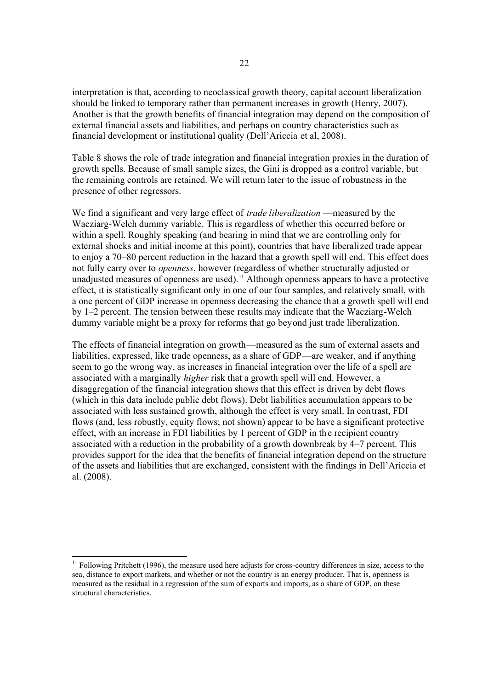interpretation is that, according to neoclassical growth theory, capital account liberalization should be linked to temporary rather than permanent increases in growth (Henry, 2007). Another is that the growth benefits of financial integration may depend on the composition of external financial assets and liabilities, and perhaps on country characteristics such as financial development or institutional quality (Dell'Ariccia et al, 2008).

Table 8 shows the role of trade integration and financial integration proxies in the duration of growth spells. Because of small sample sizes, the Gini is dropped as a control variable, but the remaining controls are retained. We will return later to the issue of robustness in the presence of other regressors.

We find a significant and very large effect of *trade liberalization* —measured by the Wacziarg-Welch dummy variable. This is regardless of whether this occurred before or within a spell. Roughly speaking (and bearing in mind that we are controlling only for external shocks and initial income at this point), countries that have liberalized trade appear to enjoy a 70–80 percent reduction in the hazard that a growth spell will end. This effect does not fully carry over to *openness*, however (regardless of whether structurally adjusted or unadjusted measures of openness are used).<sup>11</sup> Although openness appears to have a protective effect, it is statistically significant only in one of our four samples, and relatively small, with a one percent of GDP increase in openness decreasing the chance that a growth spell will end by 1–2 percent. The tension between these results may indicate that the Wacziarg-Welch dummy variable might be a proxy for reforms that go beyond just trade liberalization.

The effects of financial integration on growth—measured as the sum of external assets and liabilities, expressed, like trade openness, as a share of GDP—are weaker, and if anything seem to go the wrong way, as increases in financial integration over the life of a spell are associated with a marginally *higher* risk that a growth spell will end. However, a disaggregation of the financial integration shows that this effect is driven by debt flows (which in this data include public debt flows). Debt liabilities accumulation appears to be associated with less sustained growth, although the effect is very small. In contrast, FDI flows (and, less robustly, equity flows; not shown) appear to be have a significant protective effect, with an increase in FDI liabilities by 1 percent of GDP in the recipient country associated with a reduction in the probability of a growth downbreak by 4–7 percent. This provides support for the idea that the benefits of financial integration depend on the structure of the assets and liabilities that are exchanged, consistent with the findings in Dell'Ariccia et al. (2008).

-

 $11$  Following Pritchett (1996), the measure used here adjusts for cross-country differences in size, access to the sea, distance to export markets, and whether or not the country is an energy producer. That is, openness is measured as the residual in a regression of the sum of exports and imports, as a share of GDP, on these structural characteristics.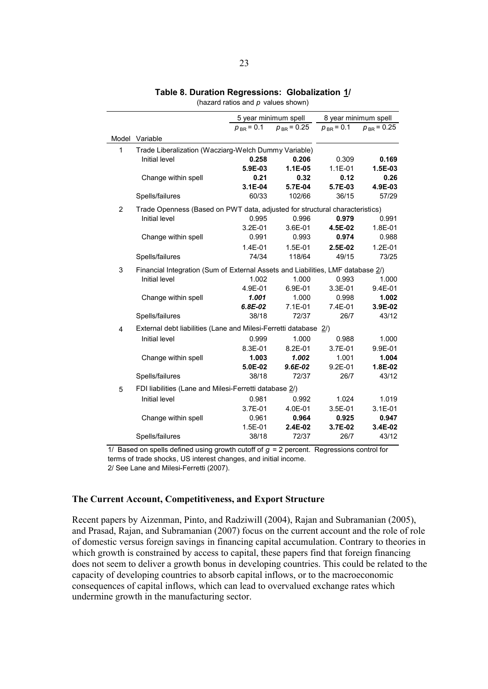|                |                                                                                 |                | 5 year minimum spell | 8 year minimum spell |                 |
|----------------|---------------------------------------------------------------------------------|----------------|----------------------|----------------------|-----------------|
|                |                                                                                 | $p_{BR} = 0.1$ | $p_{BR} = 0.25$      | $p_{BR} = 0.1$       | $p_{BR} = 0.25$ |
|                | Model Variable                                                                  |                |                      |                      |                 |
| 1              | Trade Liberalization (Wacziarg-Welch Dummy Variable)                            |                |                      |                      |                 |
|                | Initial level                                                                   | 0.258          | 0.206                | 0.309                | 0.169           |
|                |                                                                                 | 5.9E-03        | $1.1E-05$            | $1.1E - 01$          | 1.5E-03         |
|                | Change within spell                                                             | 0.21           | 0.32                 | 0.12                 | 0.26            |
|                |                                                                                 | $3.1E-04$      | 5.7E-04              | 5.7E-03              | 4.9E-03         |
|                | Spells/failures                                                                 | 60/33          | 102/66               | 36/15                | 57/29           |
| $\overline{2}$ | Trade Openness (Based on PWT data, adjusted for structural characteristics)     |                |                      |                      |                 |
|                | Initial level                                                                   | 0.995          | 0.996                | 0.979                | 0.991           |
|                |                                                                                 | 3.2E-01        | 3.6E-01              | 4.5E-02              | 1.8E-01         |
|                | Change within spell                                                             | 0.991          | 0.993                | 0.974                | 0.988           |
|                |                                                                                 | $1.4E - 01$    | $1.5E - 01$          | $2.5E-02$            | $1.2E - 01$     |
|                | Spells/failures                                                                 | 74/34          | 118/64               | 49/15                | 73/25           |
| 3              | Financial Integration (Sum of External Assets and Liabilities, LMF database 2/) |                |                      |                      |                 |
|                | Initial level                                                                   | 1.002          | 1.000                | 0.993                | 1.000           |
|                |                                                                                 | 4.9E-01        | 6.9E-01              | 3.3E-01              | 9.4E-01         |
|                | Change within spell                                                             | 1.001          | 1.000                | 0.998                | 1.002           |
|                |                                                                                 | $6.8E-02$      | $7.1E-01$            | 7.4E-01              | 3.9E-02         |
|                | Spells/failures                                                                 | 38/18          | 72/37                | 26/7                 | 43/12           |
| 4              | External debt liabilities (Lane and Milesi-Ferretti database 2/)                |                |                      |                      |                 |
|                | Initial level                                                                   | 0.999          | 1.000                | 0.988                | 1.000           |
|                |                                                                                 | 8.3E-01        | $8.2E - 01$          | 3.7E-01              | 9.9E-01         |
|                | Change within spell                                                             | 1.003          | 1.002                | 1.001                | 1.004           |
|                |                                                                                 | 5.0E-02        | $9.6E - 02$          | $9.2E - 01$          | 1.8E-02         |
|                | Spells/failures                                                                 | 38/18          | 72/37                | 26/7                 | 43/12           |
| 5              | FDI liabilities (Lane and Milesi-Ferretti database 2/)                          |                |                      |                      |                 |
|                | Initial level                                                                   | 0.981          | 0.992                | 1.024                | 1.019           |
|                |                                                                                 | 3.7E-01        | 4.0E-01              | $3.5E-01$            | $3.1E - 01$     |
|                | Change within spell                                                             | 0.961          | 0.964                | 0.925                | 0.947           |
|                |                                                                                 | 1.5E-01        | 2.4E-02              | 3.7E-02              | 3.4E-02         |
|                | Spells/failures                                                                 | 38/18          | 72/37                | 26/7                 | 43/12           |

## **Table 8. Duration Regressions: Globalization 1/**

(hazard ratios and *p* values shown)

1/ Based on spells defined using growth cutoff of *g* = 2 percent. Regressions control for terms of trade shocks, US interest changes, and initial income.

2/ See Lane and Milesi-Ferretti (2007).

## **The Current Account, Competitiveness, and Export Structure**

Recent papers by Aizenman, Pinto, and Radziwill (2004), Rajan and Subramanian (2005), and Prasad, Rajan, and Subramanian (2007) focus on the current account and the role of role of domestic versus foreign savings in financing capital accumulation. Contrary to theories in which growth is constrained by access to capital, these papers find that foreign financing does not seem to deliver a growth bonus in developing countries. This could be related to the capacity of developing countries to absorb capital inflows, or to the macroeconomic consequences of capital inflows, which can lead to overvalued exchange rates which undermine growth in the manufacturing sector.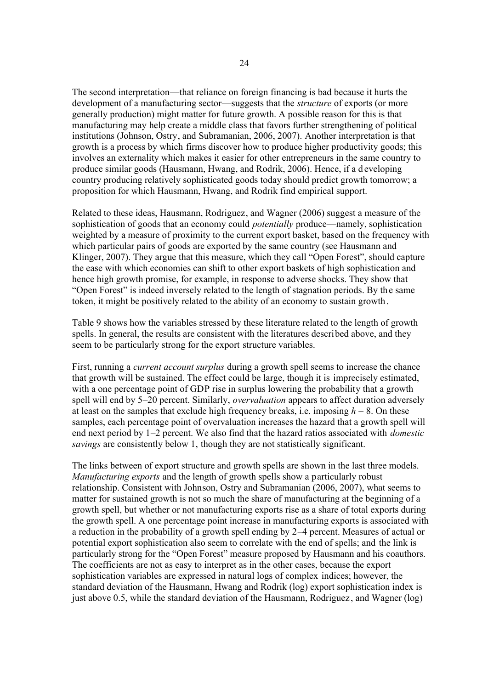The second interpretation—that reliance on foreign financing is bad because it hurts the development of a manufacturing sector—suggests that the *structure* of exports (or more generally production) might matter for future growth. A possible reason for this is that manufacturing may help create a middle class that favors further strengthening of political institutions (Johnson, Ostry, and Subramanian, 2006, 2007). Another interpretation is that growth is a process by which firms discover how to produce higher productivity goods; this involves an externality which makes it easier for other entrepreneurs in the same country to produce similar goods (Hausmann, Hwang, and Rodrik, 2006). Hence, if a d eveloping country producing relatively sophisticated goods today should predict growth tomorrow; a proposition for which Hausmann, Hwang, and Rodrik find empirical support.

Related to these ideas, Hausmann, Rodriguez, and Wagner (2006) suggest a measure of the sophistication of goods that an economy could *potentially* produce—namely, sophistication weighted by a measure of proximity to the current export basket, based on the frequency with which particular pairs of goods are exported by the same country (see Hausmann and Klinger, 2007). They argue that this measure, which they call "Open Forest", should capture the ease with which economies can shift to other export baskets of high sophistication and hence high growth promise, for example, in response to adverse shocks. They show that "Open Forest" is indeed inversely related to the length of stagnation periods. By the same token, it might be positively related to the ability of an economy to sustain growth.

Table 9 shows how the variables stressed by these literature related to the length of growth spells. In general, the results are consistent with the literatures described above, and they seem to be particularly strong for the export structure variables.

First, running a *current account surplus* during a growth spell seems to increase the chance that growth will be sustained. The effect could be large, though it is imprecisely estimated, with a one percentage point of GDP rise in surplus lowering the probability that a growth spell will end by 5–20 percent. Similarly, *overvaluation* appears to affect duration adversely at least on the samples that exclude high frequency breaks, i.e. imposing  $h = 8$ . On these samples, each percentage point of overvaluation increases the hazard that a growth spell will end next period by 1–2 percent. We also find that the hazard ratios associated with *domestic savings* are consistently below 1, though they are not statistically significant.

The links between of export structure and growth spells are shown in the last three models. *Manufacturing exports* and the length of growth spells show a particularly robust relationship. Consistent with Johnson, Ostry and Subramanian (2006, 2007), what seems to matter for sustained growth is not so much the share of manufacturing at the beginning of a growth spell, but whether or not manufacturing exports rise as a share of total exports during the growth spell. A one percentage point increase in manufacturing exports is associated with a reduction in the probability of a growth spell ending by 2–4 percent. Measures of actual or potential export sophistication also seem to correlate with the end of spells; and the link is particularly strong for the "Open Forest" measure proposed by Hausmann and his coauthors. The coefficients are not as easy to interpret as in the other cases, because the export sophistication variables are expressed in natural logs of complex indices; however, the standard deviation of the Hausmann, Hwang and Rodrik (log) export sophistication index is just above 0.5, while the standard deviation of the Hausmann, Rodriguez , and Wagner (log)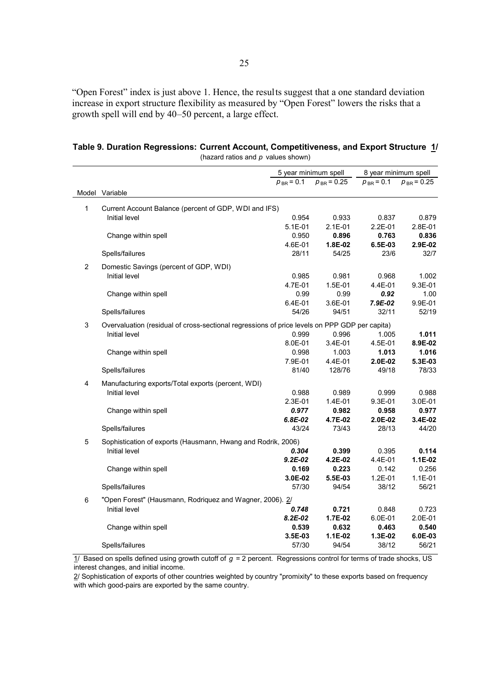"Open Forest" index is just above 1. Hence, the results suggest that a one standard deviation increase in export structure flexibility as measured by "Open Forest" lowers the risks that a growth spell will end by 40–50 percent, a large effect.

|   |                                                                                               | 5 year minimum spell |                 | 8 year minimum spell |                 |
|---|-----------------------------------------------------------------------------------------------|----------------------|-----------------|----------------------|-----------------|
|   |                                                                                               | $p_{BR} = 0.1$       | $p_{BR} = 0.25$ | $p_{BR} = 0.1$       | $p_{BR} = 0.25$ |
|   | Model Variable                                                                                |                      |                 |                      |                 |
|   |                                                                                               |                      |                 |                      |                 |
| 1 | Current Account Balance (percent of GDP, WDI and IFS)                                         |                      |                 |                      |                 |
|   | Initial level                                                                                 | 0.954                | 0.933           | 0.837                | 0.879           |
|   |                                                                                               | $5.1E - 01$          | $2.1E - 01$     | $2.2E - 01$          | 2.8E-01         |
|   | Change within spell                                                                           | 0.950                | 0.896           | 0.763                | 0.836           |
|   |                                                                                               | 4.6E-01              | 1.8E-02         | 6.5E-03              | 2.9E-02         |
|   | Spells/failures                                                                               | 28/11                | 54/25           | 23/6                 | 32/7            |
| 2 | Domestic Savings (percent of GDP, WDI)                                                        |                      |                 |                      |                 |
|   | Initial level                                                                                 | 0.985                | 0.981           | 0.968                | 1.002           |
|   |                                                                                               | 4.7E-01              | $1.5E - 01$     | 4.4E-01              | 9.3E-01         |
|   | Change within spell                                                                           | 0.99                 | 0.99            | 0.92                 | 1.00            |
|   |                                                                                               | 6.4E-01              | 3.6E-01         | 7.9E-02              | 9.9E-01         |
|   | Spells/failures                                                                               | 54/26                | 94/51           | 32/11                | 52/19           |
| 3 | Overvaluation (residual of cross-sectional regressions of price levels on PPP GDP per capita) |                      |                 |                      |                 |
|   | Initial level                                                                                 | 0.999                | 0.996           | 1.005                | 1.011           |
|   |                                                                                               | 8.0E-01              | 3.4E-01         | 4.5E-01              | 8.9E-02         |
|   | Change within spell                                                                           | 0.998                | 1.003           | 1.013                | 1.016           |
|   |                                                                                               | 7.9E-01              | 4.4E-01         | 2.0E-02              | 5.3E-03         |
|   | Spells/failures                                                                               | 81/40                | 128/76          | 49/18                | 78/33           |
|   |                                                                                               |                      |                 |                      |                 |
| 4 | Manufacturing exports/Total exports (percent, WDI)                                            |                      |                 |                      |                 |
|   | Initial level                                                                                 | 0.988                | 0.989           | 0.999                | 0.988           |
|   |                                                                                               | 2.3E-01              | 1.4E-01         | 9.3E-01              | 3.0E-01         |
|   | Change within spell                                                                           | 0.977                | 0.982           | 0.958                | 0.977           |
|   |                                                                                               | $6.8E - 02$          | 4.7E-02         | 2.0E-02              | 3.4E-02         |
|   | Spells/failures                                                                               | 43/24                | 73/43           | 28/13                | 44/20           |
| 5 | Sophistication of exports (Hausmann, Hwang and Rodrik, 2006)                                  |                      |                 |                      |                 |
|   | Initial level                                                                                 | 0.304                | 0.399           | 0.395                | 0.114           |
|   |                                                                                               | $9.2E - 02$          | 4.2E-02         | 4.4E-01              | $1.1E-02$       |
|   | Change within spell                                                                           | 0.169                | 0.223           | 0.142                | 0.256           |
|   |                                                                                               | 3.0E-02              | 5.5E-03         | 1.2E-01              | $1.1E - 01$     |
|   | Spells/failures                                                                               | 57/30                | 94/54           | 38/12                | 56/21           |
| 6 | "Open Forest" (Hausmann, Rodriquez and Wagner, 2006). 2/                                      |                      |                 |                      |                 |
|   | Initial level                                                                                 | 0.748                | 0.721           | 0.848                | 0.723           |
|   |                                                                                               | $8.2E - 02$          | 1.7E-02         | 6.0E-01              | 2.0E-01         |
|   |                                                                                               | 0.539                | 0.632           | 0.463                | 0.540           |
|   | Change within spell                                                                           | 3.5E-03              | $1.1E-02$       | 1.3E-02              | 6.0E-03         |
|   | Spells/failures                                                                               | 57/30                | 94/54           | 38/12                | 56/21           |
|   |                                                                                               |                      |                 |                      |                 |

**Table 9. Duration Regressions: Current Account, Competitiveness, and Export Structure 1/** (hazard ratios and *p* values shown)

1/ Based on spells defined using growth cutoff of *g* = 2 percent. Regressions control for terms of trade shocks, US interest changes, and initial income.

2/ Sophistication of exports of other countries weighted by country "promixity" to these exports based on frequency with which good-pairs are exported by the same country.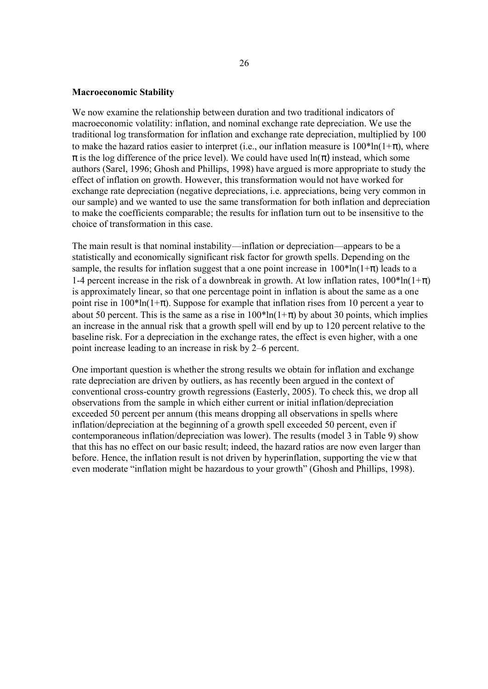#### **Macroeconomic Stability**

We now examine the relationship between duration and two traditional indicators of macroeconomic volatility: inflation, and nominal exchange rate depreciation. We use the traditional log transformation for inflation and exchange rate depreciation, multiplied by 100 to make the hazard ratios easier to interpret (i.e., our inflation measure is  $100^*$ ln(1+ $\pi$ ), where  $\pi$  is the log difference of the price level). We could have used ln( $\pi$ ) instead, which some authors (Sarel, 1996; Ghosh and Phillips, 1998) have argued is more appropriate to study the effect of inflation on growth. However, this transformation would not have worked for exchange rate depreciation (negative depreciations, i.e. appreciations, being very common in our sample) and we wanted to use the same transformation for both inflation and depreciation to make the coefficients comparable; the results for inflation turn out to be insensitive to the choice of transformation in this case.

The main result is that nominal instability—inflation or depreciation—appears to be a statistically and economically significant risk factor for growth spells. Depending on the sample, the results for inflation suggest that a one point increase in  $100*ln(1+\pi)$  leads to a 1-4 percent increase in the risk of a downbreak in growth. At low inflation rates,  $100^* \ln(1+\pi)$ is approximately linear, so that one percentage point in inflation is about the same as a one point rise in  $100^*$ ln(1+ $\pi$ ). Suppose for example that inflation rises from 10 percent a year to about 50 percent. This is the same as a rise in  $100^*$ ln( $1+\pi$ ) by about 30 points, which implies an increase in the annual risk that a growth spell will end by up to 120 percent relative to the baseline risk. For a depreciation in the exchange rates, the effect is even higher, with a one point increase leading to an increase in risk by 2–6 percent.

One important question is whether the strong results we obtain for inflation and exchange rate depreciation are driven by outliers, as has recently been argued in the context of conventional cross-country growth regressions (Easterly, 2005). To check this, we drop all observations from the sample in which either current or initial inflation/depreciation exceeded 50 percent per annum (this means dropping all observations in spells where inflation/depreciation at the beginning of a growth spell exceeded 50 percent, even if contemporaneous inflation/depreciation was lower). The results (model 3 in Table 9) show that this has no effect on our basic result; indeed, the hazard ratios are now even larger than before. Hence, the inflation result is not driven by hyperinflation, supporting the view that even moderate "inflation might be hazardous to your growth" (Ghosh and Phillips, 1998).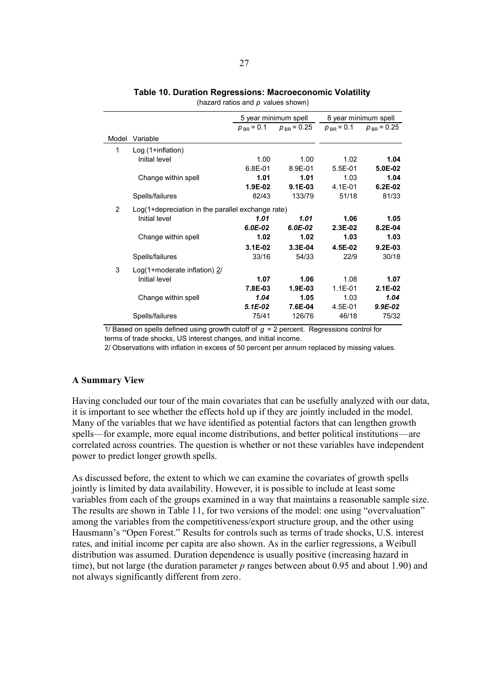|       |                                                   |                | 5 year minimum spell | 8 year minimum spell |                 |
|-------|---------------------------------------------------|----------------|----------------------|----------------------|-----------------|
|       |                                                   | $p_{BR} = 0.1$ | $p_{BR} = 0.25$      | $p_{BR} = 0.1$       | $p_{BR}$ = 0.25 |
| Model | Variable                                          |                |                      |                      |                 |
| 1     | $Log(1 + inflation)$                              |                |                      |                      |                 |
|       | Initial level                                     | 1.00           | 1.00                 | 1.02                 | 1.04            |
|       |                                                   | 6.8E-01        | 8.9E-01              | $5.5E-01$            | 5.0E-02         |
|       | Change within spell                               | 1.01           | 1.01                 | 1.03                 | 1.04            |
|       |                                                   | $1.9E-02$      | $9.1E-03$            | $4.1E - 01$          | $6.2E-02$       |
|       | Spells/failures                                   | 82/43          | 133/79               | 51/18                | 81/33           |
| 2     | Log(1+depreciation in the parallel exchange rate) |                |                      |                      |                 |
|       | Initial level                                     | 1.01           | 1.01                 | 1.06                 | 1.05            |
|       |                                                   | $6.0E-02$      | $6.0E-02$            | $2.3E-02$            | $8.2E - 04$     |
|       | Change within spell                               | 1.02           | 1.02                 | 1.03                 | 1.03            |
|       |                                                   | $3.1E-02$      | 3.3E-04              | 4.5E-02              | $9.2E-03$       |
|       | Spells/failures                                   | 33/16          | 54/33                | 22/9                 | 30/18           |
| 3     | $Log(1 + moderate inflation)$ 2/                  |                |                      |                      |                 |
|       | Initial level                                     | 1.07           | 1.06                 | 1.08                 | 1.07            |
|       |                                                   | 7.8E-03        | $1.9E-03$            | $1.1E - 01$          | $2.1E-02$       |
|       | Change within spell                               | 1.04           | 1.05                 | 1.03                 | 1.04            |
|       |                                                   | $5.1E-02$      | 7.6E-04              | 4.5E-01              | $9.9E-02$       |
|       | Spells/failures                                   | 75/41          | 126/76               | 46/18                | 75/32           |

# **Table 10. Duration Regressions: Macroeconomic Volatility**

(hazard ratios and *p* values shown)

1/ Based on spells defined using growth cutoff of *g* = 2 percent. Regressions control for terms of trade shocks, US interest changes, and initial income.

2/ Observations with inflation in excess of 50 percent per annum replaced by missing values.

#### **A Summary View**

Having concluded our tour of the main covariates that can be usefully analyzed with our data, it is important to see whether the effects hold up if they are jointly included in the model. Many of the variables that we have identified as potential factors that can lengthen growth spells—for example, more equal income distributions, and better political institutions—are correlated across countries. The question is whether or not these variables have independent power to predict longer growth spells.

As discussed before, the extent to which we can examine the covariates of growth spells jointly is limited by data availability. However, it is possible to include at least some variables from each of the groups examined in a way that maintains a reasonable sample size. The results are shown in Table 11, for two versions of the model: one using "overvaluation" among the variables from the competitiveness/export structure group, and the other using Hausmann's "Open Forest." Results for controls such as terms of trade shocks, U.S. interest rates, and initial income per capita are also shown. As in the earlier regressions, a Weibull distribution was assumed. Duration dependence is usually positive (increasing hazard in time), but not large (the duration parameter *p* ranges between about 0.95 and about 1.90) and not always significantly different from zero.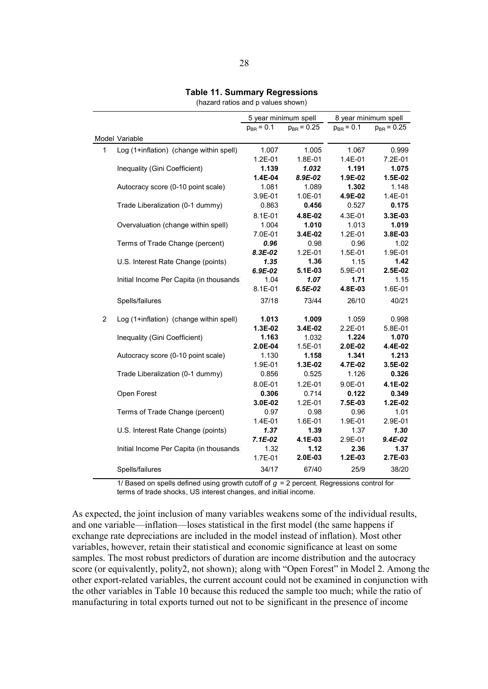## **Table 11. Summary Regressions**

(hazard ratios and p values shown)

|                |                                          | 5 year minimum spell |                 | 8 year minimum spell |                 |
|----------------|------------------------------------------|----------------------|-----------------|----------------------|-----------------|
|                |                                          | $p_{BR} = 0.1$       | $p_{BR} = 0.25$ | $p_{BR} = 0.1$       | $p_{BR} = 0.25$ |
|                | Model Variable                           |                      |                 |                      |                 |
| $\mathbf{1}$   | Log (1+inflation) (change within spell)  | 1.007                | 1.005           | 1.067                | 0.999           |
|                |                                          | $1.2E - 01$          | 1.8E-01         | 1.4E-01              | 7.2E-01         |
|                | Inequality (Gini Coefficient)            | 1.139                | 1.032           | 1.191                | 1.075           |
|                |                                          | 1.4E-04              | 8.9E-02         | 1.9E-02              | 1.5E-02         |
|                | Autocracy score (0-10 point scale)       | 1.081                | 1.089           | 1.302                | 1.148           |
|                |                                          | 3.9E-01              | 1.0E-01         | 4.9E-02              | 1.4E-01         |
|                | Trade Liberalization (0-1 dummy)         | 0.863                | 0.456           | 0.527                | 0.175           |
|                |                                          | $8.1E - 01$          | 4.8E-02         | 4.3E-01              | 3.3E-03         |
|                | Overvaluation (change within spell)      | 1.004                | 1.010           | 1.013                | 1.019           |
|                |                                          | 7.0E-01              | 3.4E-02         | 1.2E-01              | 3.8E-03         |
|                | Terms of Trade Change (percent)          | 0.96                 | 0.98            | 0.96                 | 1.02            |
|                |                                          | 8.3E-02              | $1.2E - 01$     | 1.5E-01              | 1.9E-01         |
|                | U.S. Interest Rate Change (points)       | 1.35                 | 1.36            | 1.15                 | 1.42            |
|                |                                          | 6.9E-02              | 5.1E-03         | 5.9E-01              | 2.5E-02         |
|                | Initial Income Per Capita (in thousands) | 1.04                 | 1.07            | 1.71                 | 1.15            |
|                |                                          | $8.1E - 01$          | $6.5E-02$       | 4.8E-03              | 1.6E-01         |
|                | Spells/failures                          | 37/18                | 73/44           | 26/10                | 40/21           |
| $\overline{2}$ | Log (1+inflation) (change within spell)  | 1.013                | 1.009           | 1.059                | 0.998           |
|                |                                          | 1.3E-02              | 3.4E-02         | $2.2E - 01$          | 5.8E-01         |
|                | Inequality (Gini Coefficient)            | 1.163                | 1.032           | 1.224                | 1.070           |
|                |                                          | 2.0E-04              | 1.5E-01         | 2.0E-02              | 4.4E-02         |
|                | Autocracy score (0-10 point scale)       | 1.130                | 1.158           | 1.341                | 1.213           |
|                |                                          | 1.9E-01              | 1.3E-02         | 4.7E-02              | 3.5E-02         |
|                | Trade Liberalization (0-1 dummy)         | 0.856                | 0.525           | 1.126                | 0.326           |
|                |                                          | 8.0E-01              | $1.2E - 01$     | $9.0E - 01$          | 4.1E-02         |
|                | Open Forest                              | 0.306                | 0.714           | 0.122                | 0.349           |
|                |                                          | 3.0E-02              | $1.2E - 01$     | 7.5E-03              | 1.2E-02         |
|                | Terms of Trade Change (percent)          | 0.97                 | 0.98            | 0.96                 | 1.01            |
|                |                                          | $1.4E - 01$          | 1.6E-01         | 1.9E-01              | 2.9E-01         |
|                | U.S. Interest Rate Change (points)       | 1.37                 | 1.39            | 1.37                 | 1.30            |
|                |                                          | $7.1E-02$            | 4.1E-03         | 2.9E-01              | 9.4E-02         |
|                | Initial Income Per Capita (in thousands) | 1.32<br>1.7E-01      | 1.12<br>2.0E-03 | 2.36<br>$1.2E-03$    | 1.37<br>2.7E-03 |
|                |                                          |                      |                 |                      |                 |
|                | Spells/failures                          | 34/17                | 67/40           | 25/9                 | 38/20           |

1/ Based on spells defined using growth cutoff of *g* = 2 percent. Regressions control for terms of trade shocks, US interest changes, and initial income.

As expected, the joint inclusion of many variables weakens some of the individual results, and one variable—inflation—loses statistical in the first model (the same happens if exchange rate depreciations are included in the model instead of inflation). Most other variables, however, retain their statistical and economic significance at least on some samples. The most robust predictors of duration are income distribution and the autocracy score (or equivalently, polity2, not shown); along with "Open Forest" in Model 2. Among the other export-related variables, the current account could not be examined in conjunction with the other variables in Table 10 because this reduced the sample too much; while the ratio of manufacturing in total exports turned out not to be significant in the presence of income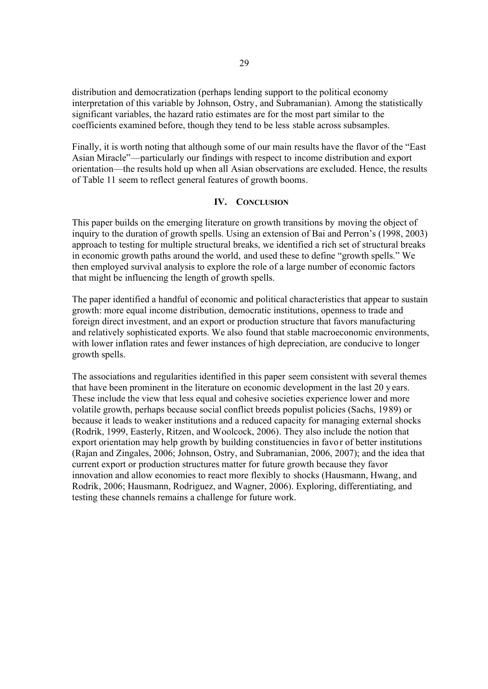distribution and democratization (perhaps lending support to the political economy interpretation of this variable by Johnson, Ostry, and Subramanian). Among the statistically significant variables, the hazard ratio estimates are for the most part similar to the coefficients examined before, though they tend to be less stable across subsamples.

Finally, it is worth noting that although some of our main results have the flavor of the "East Asian Miracle"—particularly our findings with respect to income distribution and export orientation—the results hold up when all Asian observations are excluded. Hence, the results of Table 11 seem to reflect general features of growth booms.

# **IV. CONCLUSION**

This paper builds on the emerging literature on growth transitions by moving the object of inquiry to the duration of growth spells. Using an extension of Bai and Perron's (1998, 2003) approach to testing for multiple structural breaks, we identified a rich set of structural breaks in economic growth paths around the world, and used these to define "growth spells." We then employed survival analysis to explore the role of a large number of economic factors that might be influencing the length of growth spells.

The paper identified a handful of economic and political characteristics that appear to sustain growth: more equal income distribution, democratic institutions, openness to trade and foreign direct investment, and an export or production structure that favors manufacturing and relatively sophisticated exports. We also found that stable macroeconomic environments, with lower inflation rates and fewer instances of high depreciation, are conducive to longer growth spells.

The associations and regularities identified in this paper seem consistent with several themes that have been prominent in the literature on economic development in the last 20 years. These include the view that less equal and cohesive societies experience lower and more volatile growth, perhaps because social conflict breeds populist policies (Sachs, 1989) or because it leads to weaker institutions and a reduced capacity for managing external shocks (Rodrik, 1999, Easterly, Ritzen, and Woolcock, 2006). They also include the notion that export orientation may help growth by building constituencies in favor of better institutions (Rajan and Zingales, 2006; Johnson, Ostry, and Subramanian, 2006, 2007); and the idea that current export or production structures matter for future growth because they favor innovation and allow economies to react more flexibly to shocks (Hausmann, Hwang, and Rodrik, 2006; Hausmann, Rodriguez, and Wagner, 2006). Exploring, differentiating, and testing these channels remains a challenge for future work.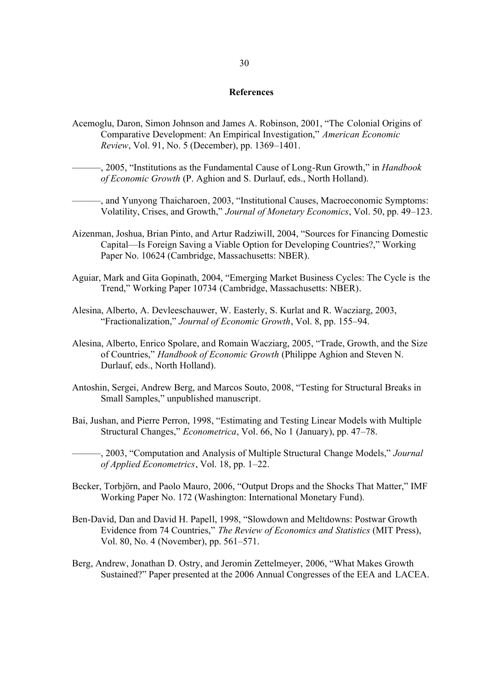#### **References**

- Acemoglu, Daron, Simon Johnson and James A. Robinson, 2001, "The Colonial Origins of Comparative Development: An Empirical Investigation," *American Economic Review*, Vol. 91, No. 5 (December), pp. 1369–1401.
	- ———, 2005, "Institutions as the Fundamental Cause of Long-Run Growth," in *Handbook of Economic Growth* (P. Aghion and S. Durlauf, eds., North Holland).

———, and Yunyong Thaicharoen, 2003, "Institutional Causes, Macroeconomic Symptoms: Volatility, Crises, and Growth," *Journal of Monetary Economics*, Vol. 50, pp. 49–123.

- Aizenman, Joshua, Brian Pinto, and Artur Radziwill, 2004, "Sources for Financing Domestic Capital—Is Foreign Saving a Viable Option for Developing Countries?," Working Paper No. 10624 (Cambridge, Massachusetts: NBER).
- Aguiar, Mark and Gita Gopinath, 2004, "Emerging Market Business Cycles: The Cycle is the Trend," Working Paper 10734 (Cambridge, Massachusetts: NBER).
- Alesina, Alberto, A. Devleeschauwer, W. Easterly, S. Kurlat and R. Wacziarg, 2003, "Fractionalization," *Journal of Economic Growth*, Vol. 8, pp. 155–94.
- Alesina, Alberto, Enrico Spolare, and Romain Wacziarg, 2005, "Trade, Growth, and the Size of Countries," *Handbook of Economic Growth* (Philippe Aghion and Steven N. Durlauf, eds., North Holland).
- Antoshin, Sergei, Andrew Berg, and Marcos Souto, 2008, "Testing for Structural Breaks in Small Samples," unpublished manuscript.
- Bai, Jushan, and Pierre Perron, 1998, "Estimating and Testing Linear Models with Multiple Structural Changes," *Econometrica*, Vol. 66, No 1 (January), pp. 47–78.

———, 2003, "Computation and Analysis of Multiple Structural Change Models," *Journal of Applied Econometrics*, Vol. 18, pp. 1–22.

- Becker, Torbjörn, and Paolo Mauro, 2006, "Output Drops and the Shocks That Matter," IMF Working Paper No. 172 (Washington: International Monetary Fund).
- Ben-David, Dan and David H. Papell, 1998, "Slowdown and Meltdowns: Postwar Growth Evidence from 74 Countries," *The Review of Economics and Statistics* (MIT Press), Vol. 80, No. 4 (November), pp. 561–571.
- Berg, Andrew, Jonathan D. Ostry, and Jeromin Zettelmeyer, 2006, "What Makes Growth Sustained?" Paper presented at the 2006 Annual Congresses of the EEA and LACEA.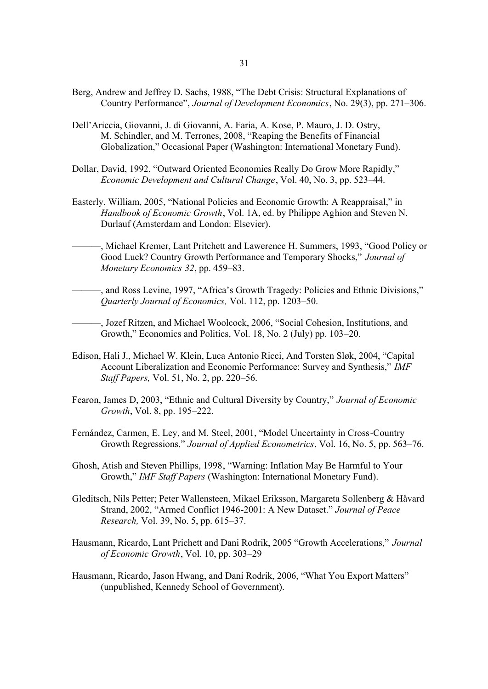- Berg, Andrew and Jeffrey D. Sachs, 1988, "The Debt Crisis: Structural Explanations of Country Performance", *Journal of Development Economics*, No. 29(3), pp. 271–306.
- Dell'Ariccia, Giovanni, J. di Giovanni, A. Faria, A. Kose, P. Mauro, J. D. Ostry, M. Schindler, and M. Terrones, 2008, "Reaping the Benefits of Financial Globalization," Occasional Paper (Washington: International Monetary Fund).
- Dollar, David, 1992, "Outward Oriented Economies Really Do Grow More Rapidly," *Economic Development and Cultural Change*, Vol. 40, No. 3, pp. 523–44.
- Easterly, William, 2005, "National Policies and Economic Growth: A Reappraisal," in *Handbook of Economic Growth*, Vol. 1A, ed. by Philippe Aghion and Steven N. Durlauf (Amsterdam and London: Elsevier).
- ———, Michael Kremer, Lant Pritchett and Lawerence H. Summers, 1993, "Good Policy or Good Luck? Country Growth Performance and Temporary Shocks," *Journal of Monetary Economics 32*, pp. 459–83.
- ———, and Ross Levine, 1997, "Africa's Growth Tragedy: Policies and Ethnic Divisions," *Quarterly Journal of Economics,* Vol. 112, pp. 1203–50.
- ———, Jozef Ritzen, and Michael Woolcock, 2006, "Social Cohesion, Institutions, and Growth," Economics and Politics, Vol. 18, No. 2 (July) pp. 103–20.
- Edison, Hali J., Michael W. Klein, Luca Antonio Ricci, And Torsten Sløk, 2004, "Capital Account Liberalization and Economic Performance: Survey and Synthesis," *IMF Staff Papers,* Vol. 51, No. 2, pp. 220–56.
- Fearon, James D, 2003, "Ethnic and Cultural Diversity by Country," *Journal of Economic Growth*, Vol. 8, pp. 195–222.
- Fernández, Carmen, E. Ley, and M. Steel, 2001, "Model Uncertainty in Cross-Country Growth Regressions," *Journal of Applied Econometrics*, Vol. 16, No. 5, pp. 563–76.
- Ghosh, Atish and Steven Phillips, 1998, "Warning: Inflation May Be Harmful to Your Growth," *IMF Staff Papers* (Washington: International Monetary Fund).
- Gleditsch, Nils Petter; Peter Wallensteen, Mikael Eriksson, Margareta Sollenberg & Håvard Strand, 2002, "Armed Conflict 1946-2001: A New Dataset." *Journal of Peace Research,* Vol. 39, No. 5, pp. 615–37.
- Hausmann, Ricardo, Lant Prichett and Dani Rodrik, 2005 "Growth Accelerations," *Journal of Economic Growth*, Vol. 10, pp. 303–29
- Hausmann, Ricardo, Jason Hwang, and Dani Rodrik, 2006, "What You Export Matters" (unpublished, Kennedy School of Government).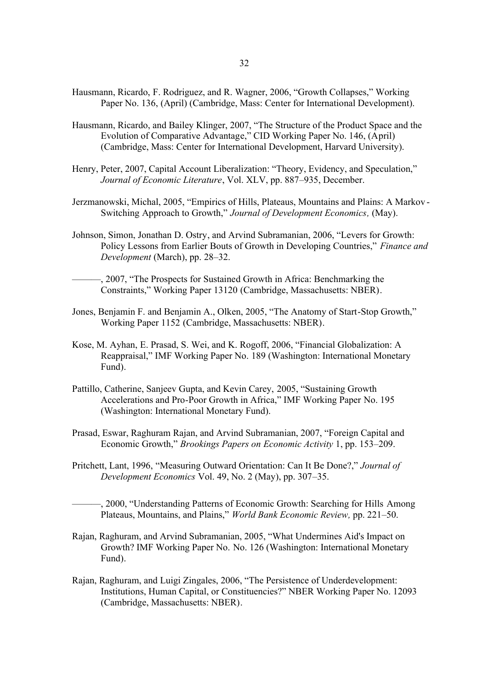- Hausmann, Ricardo, F. Rodriguez, and R. Wagner, 2006, "Growth Collapses," Working Paper No. 136, (April) (Cambridge, Mass: Center for International Development).
- Hausmann, Ricardo, and Bailey Klinger, 2007, "The Structure of the Product Space and the Evolution of Comparative Advantage," CID Working Paper No. 146, (April) (Cambridge, Mass: Center for International Development, Harvard University).
- Henry, Peter, 2007, Capital Account Liberalization: "Theory, Evidency, and Speculation," *Journal of Economic Literature*, Vol. XLV, pp. 887–935, December.
- Jerzmanowski, Michal, 2005, "Empirics of Hills, Plateaus, Mountains and Plains: A Markov Switching Approach to Growth," *Journal of Development Economics,* (May).
- Johnson, Simon, Jonathan D. Ostry, and Arvind Subramanian, 2006, "Levers for Growth: Policy Lessons from Earlier Bouts of Growth in Developing Countries," *Finance and Development* (March), pp. 28–32.
- ———, 2007, "The Prospects for Sustained Growth in Africa: Benchmarking the Constraints," Working Paper 13120 (Cambridge, Massachusetts: NBER).
- Jones, Benjamin F. and Benjamin A., Olken, 2005, "The Anatomy of Start-Stop Growth," Working Paper 1152 (Cambridge, Massachusetts: NBER).
- Kose, M. Ayhan, E. Prasad, S. Wei, and K. Rogoff, 2006, "Financial Globalization: A Reappraisal," IMF Working Paper No. 189 (Washington: International Monetary Fund).
- Pattillo, Catherine, Sanjeev Gupta, and Kevin Carey, 2005, "Sustaining Growth Accelerations and Pro-Poor Growth in Africa," IMF Working Paper No. 195 (Washington: International Monetary Fund).
- Prasad, Eswar, Raghuram Rajan, and Arvind Subramanian, 2007, "Foreign Capital and Economic Growth," *Brookings Papers on Economic Activity* 1, pp. 153–209.
- Pritchett, Lant, 1996, "Measuring Outward Orientation: Can It Be Done?," *Journal of Development Economics* Vol. 49, No. 2 (May), pp. 307–35.
- -, 2000, "Understanding Patterns of Economic Growth: Searching for Hills Among Plateaus, Mountains, and Plains," *World Bank Economic Review,* pp. 221–50.
- Rajan, Raghuram, and Arvind Subramanian, 2005, "What Undermines Aid's Impact on Growth? IMF Working Paper No. No. 126 (Washington: International Monetary Fund).
- Rajan, Raghuram, and Luigi Zingales, 2006, "The Persistence of Underdevelopment: Institutions, Human Capital, or Constituencies?" NBER Working Paper No. 12093 (Cambridge, Massachusetts: NBER).